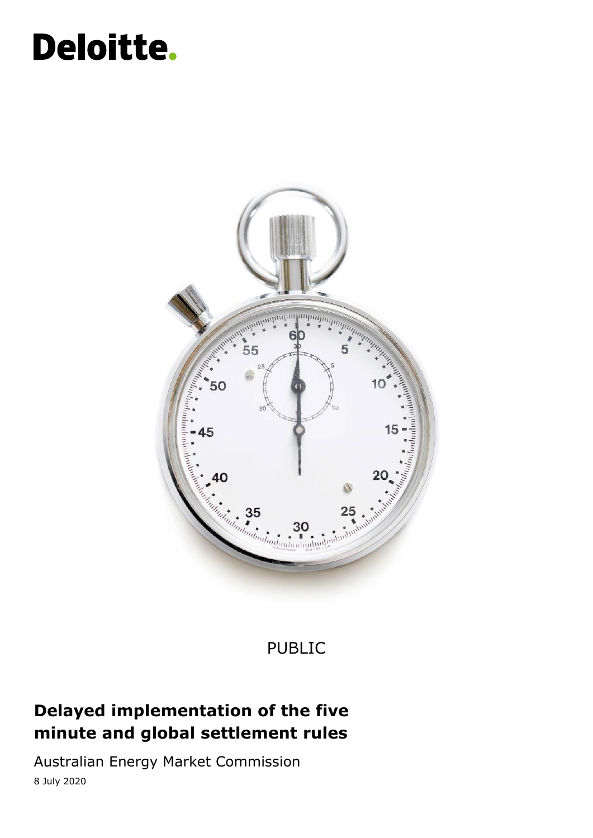## Deloitte.



### PUBLIC

### **Delayed implementation of the five minute and global settlement rules**

Australian Energy Market Commission 8 July 2020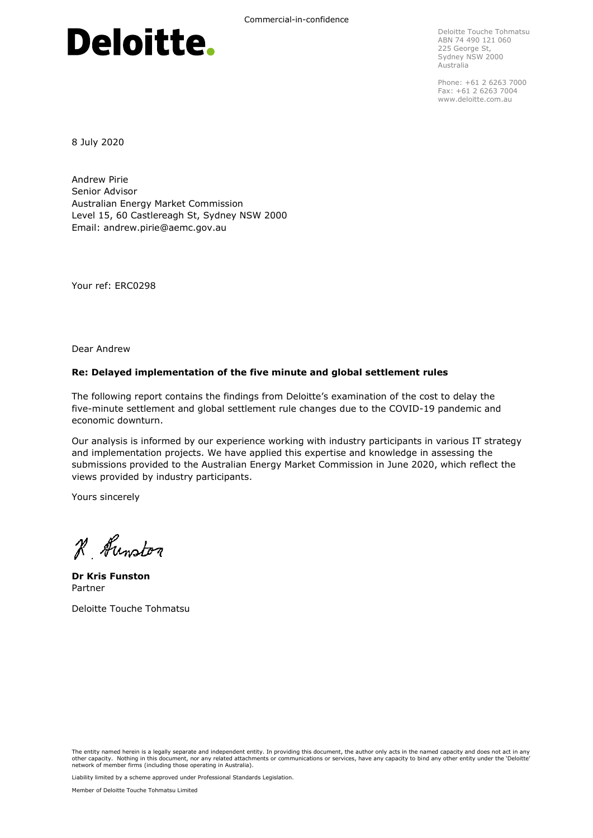# Deloitte.

Deloitte Touche Tohmatsu ABN 74 490 121 060 225 George St, Sydney NSW 2000 Australia

Phone: +61 2 6263 7000 Fax: +61 2 6263 7004 www.deloitte.com.au

8 July 2020

Andrew Pirie Senior Advisor Australian Energy Market Commission Level 15, 60 Castlereagh St, Sydney NSW 2000 Email: andrew.pirie@aemc.gov.au

Your ref: ERC0298

Dear Andrew

#### **Re: Delayed implementation of the five minute and global settlement rules**

The following report contains the findings from Deloitte's examination of the cost to delay the five-minute settlement and global settlement rule changes due to the COVID-19 pandemic and economic downturn.

Our analysis is informed by our experience working with industry participants in various IT strategy and implementation projects. We have applied this expertise and knowledge in assessing the submissions provided to the Australian Energy Market Commission in June 2020, which reflect the views provided by industry participants.

Yours sincerely

R Hunston

**Dr Kris Funston** Partner

Deloitte Touche Tohmatsu

The entity named herein is a legally separate and independent entity. In providing this document, the author only acts in the named capacity and does not act in any other capacity. Nothing in this document, nor any related attachments or communications or services, have any capacity to bind any other entity under the 'Deloitte'<br>network of member firms (including those operating in Au

Liability limited by a scheme approved under Professional Standards Legislation.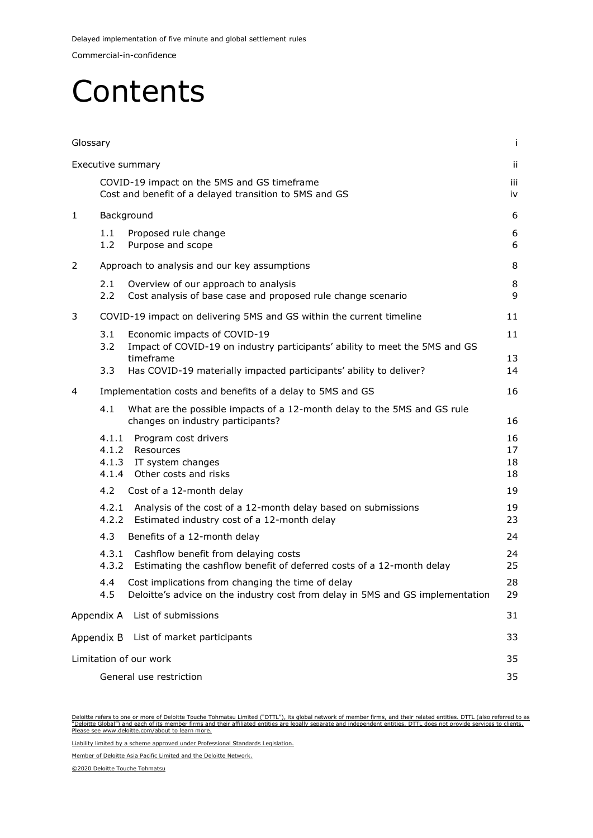Commercial-in-confidence

### Contents

| Glossary |                               |                                                                                                                                     | j.                   |  |  |  |
|----------|-------------------------------|-------------------------------------------------------------------------------------------------------------------------------------|----------------------|--|--|--|
|          |                               | Executive summary                                                                                                                   | Ϊİ                   |  |  |  |
|          |                               | COVID-19 impact on the 5MS and GS timeframe<br>Cost and benefit of a delayed transition to 5MS and GS                               | iii<br>iv            |  |  |  |
| 1        |                               | Background                                                                                                                          | 6                    |  |  |  |
|          | 1.1<br>1.2                    | Proposed rule change<br>Purpose and scope                                                                                           | 6<br>6               |  |  |  |
| 2        |                               | Approach to analysis and our key assumptions                                                                                        | 8                    |  |  |  |
|          | 2.1<br>2.2                    | Overview of our approach to analysis<br>Cost analysis of base case and proposed rule change scenario                                | 8<br>9               |  |  |  |
| 3        |                               | COVID-19 impact on delivering 5MS and GS within the current timeline                                                                | 11                   |  |  |  |
|          | 3.1<br>3.2                    | Economic impacts of COVID-19<br>Impact of COVID-19 on industry participants' ability to meet the 5MS and GS                         | 11                   |  |  |  |
|          | 3.3                           | timeframe<br>Has COVID-19 materially impacted participants' ability to deliver?                                                     | 13<br>14             |  |  |  |
| 4        |                               | Implementation costs and benefits of a delay to 5MS and GS                                                                          | 16                   |  |  |  |
|          | 4.1                           | What are the possible impacts of a 12-month delay to the 5MS and GS rule<br>changes on industry participants?                       | 16                   |  |  |  |
|          | 4.1.1<br>4.1.3<br>4.1.4       | Program cost drivers<br>4.1.2 Resources<br>IT system changes<br>Other costs and risks                                               | 16<br>17<br>18<br>18 |  |  |  |
|          | 4.2                           | Cost of a 12-month delay                                                                                                            | 19                   |  |  |  |
|          | 4.2.1<br>4.2.2                | Analysis of the cost of a 12-month delay based on submissions<br>Estimated industry cost of a 12-month delay                        | 19<br>23             |  |  |  |
|          | 4.3                           | Benefits of a 12-month delay                                                                                                        | 24                   |  |  |  |
|          | 4.3.1<br>4.3.2                | Cashflow benefit from delaying costs<br>Estimating the cashflow benefit of deferred costs of a 12-month delay                       | 24<br>25             |  |  |  |
|          | 4.4<br>4.5                    | Cost implications from changing the time of delay<br>Deloitte's advice on the industry cost from delay in 5MS and GS implementation | 28<br>29             |  |  |  |
|          | Appendix A                    | List of submissions                                                                                                                 | 31                   |  |  |  |
|          | Appendix B                    | List of market participants                                                                                                         | 33                   |  |  |  |
|          |                               | Limitation of our work                                                                                                              | 35                   |  |  |  |
|          | General use restriction<br>35 |                                                                                                                                     |                      |  |  |  |

<u>Deloitte refers to one or more of Deloitte Touche Tohmatsu Limited ("DTTL"), its global network of member firms, and their related entities. DTTL (also referred to as<br>"Deloitte Global") and each of its member firms and th</u> Please see www.deloitte.com/about to learn more.

Liability limited by a scheme approved under Professional Standards Legislation.

Member of Deloitte Asia Pacific Limited and the Deloitte Network.

©2020 Deloitte Touche Tohmatsu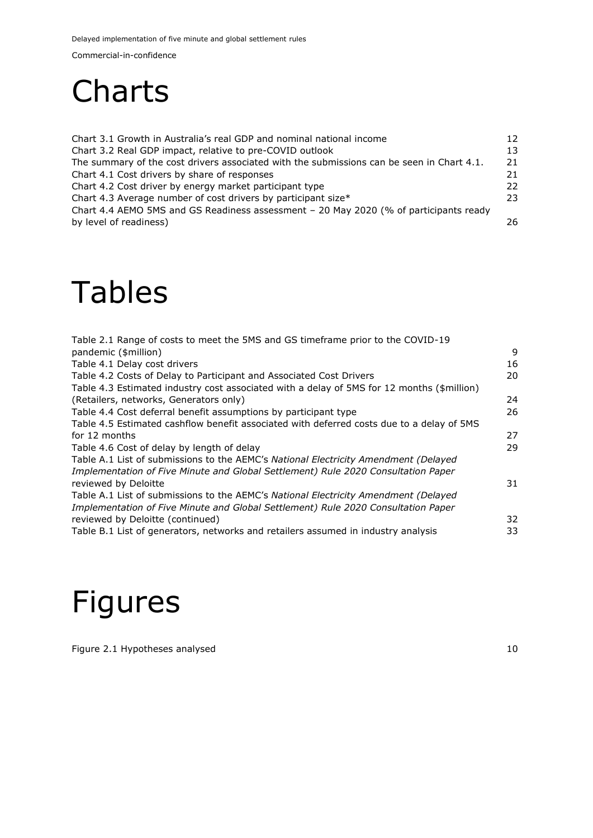Delayed implementation of five minute and global settlement rules

Commercial-in-confidence

### **Charts**

[Chart 3.1 Growth in Australia's real GDP and nominal national income](#page-15-0) 12 [Chart 3.2 Real GDP impact, relative to pre-COVID outlook](#page-16-1) 13 [The summary of the cost drivers associated with the submissions can be seen in Chart 4.1.](#page-24-0) 21 [Chart 4.1 Cost drivers by share of responses](#page-24-1) 21 [Chart 4.2 Cost driver by energy market participant type](#page-25-0) 22 [Chart 4.3 Average number of cost drivers by participant size\\*](#page-26-1) 23 [Chart 4.4 AEMO 5MS and GS Readiness assessment](#page-29-0) – 20 May 2020 (% of participants ready [by level of readiness\)](#page-29-0) 26

### Tables

| Table 2.1 Range of costs to meet the 5MS and GS timeframe prior to the COVID-19            |    |
|--------------------------------------------------------------------------------------------|----|
| pandemic (\$million)                                                                       | 9  |
| Table 4.1 Delay cost drivers                                                               | 16 |
| Table 4.2 Costs of Delay to Participant and Associated Cost Drivers                        | 20 |
| Table 4.3 Estimated industry cost associated with a delay of 5MS for 12 months (\$million) |    |
| (Retailers, networks, Generators only)                                                     | 24 |
| Table 4.4 Cost deferral benefit assumptions by participant type                            | 26 |
| Table 4.5 Estimated cashflow benefit associated with deferred costs due to a delay of 5MS  |    |
| for 12 months                                                                              | 27 |
| Table 4.6 Cost of delay by length of delay                                                 | 29 |
| Table A.1 List of submissions to the AEMC's National Electricity Amendment (Delayed        |    |
| Implementation of Five Minute and Global Settlement) Rule 2020 Consultation Paper          |    |
| reviewed by Deloitte                                                                       | 31 |
| Table A.1 List of submissions to the AEMC's National Electricity Amendment (Delayed        |    |
| Implementation of Five Minute and Global Settlement) Rule 2020 Consultation Paper          |    |
| reviewed by Deloitte (continued)                                                           | 32 |
| Table B.1 List of generators, networks and retailers assumed in industry analysis          | 33 |

### Figures

[Figure 2.1 Hypotheses analysed](#page-13-0) 10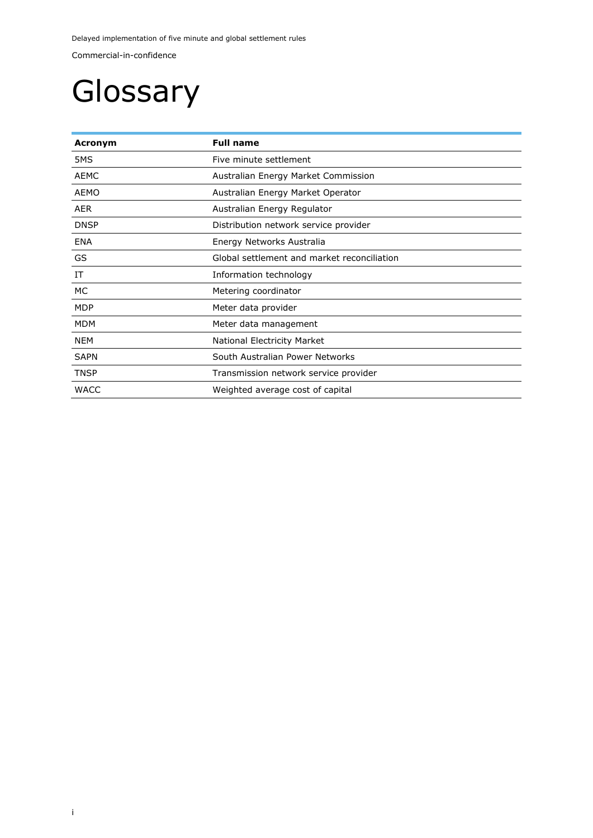Delayed implementation of five minute and global settlement rules

Commercial-in-confidence

## <span id="page-4-0"></span>Glossary

| Acronym     | <b>Full name</b>                            |  |  |  |
|-------------|---------------------------------------------|--|--|--|
| 5MS         | Five minute settlement                      |  |  |  |
| <b>AEMC</b> | Australian Energy Market Commission         |  |  |  |
| AEMO        | Australian Energy Market Operator           |  |  |  |
| <b>AER</b>  | Australian Energy Regulator                 |  |  |  |
| <b>DNSP</b> | Distribution network service provider       |  |  |  |
| <b>ENA</b>  | Energy Networks Australia                   |  |  |  |
| GS          | Global settlement and market reconciliation |  |  |  |
| ΙT          | Information technology                      |  |  |  |
| МC          | Metering coordinator                        |  |  |  |
| <b>MDP</b>  | Meter data provider                         |  |  |  |
| <b>MDM</b>  | Meter data management                       |  |  |  |
| <b>NEM</b>  | National Electricity Market                 |  |  |  |
| <b>SAPN</b> | South Australian Power Networks             |  |  |  |
| <b>TNSP</b> | Transmission network service provider       |  |  |  |
| <b>WACC</b> | Weighted average cost of capital            |  |  |  |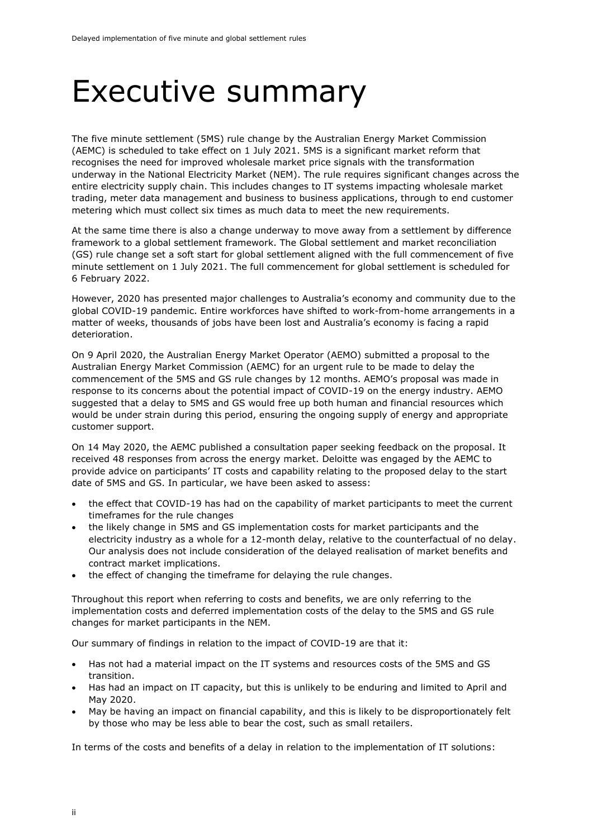### <span id="page-5-0"></span>Executive summary

The five minute settlement (5MS) rule change by the Australian Energy Market Commission (AEMC) is scheduled to take effect on 1 July 2021. 5MS is a significant market reform that recognises the need for improved wholesale market price signals with the transformation underway in the National Electricity Market (NEM). The rule requires significant changes across the entire electricity supply chain. This includes changes to IT systems impacting wholesale market trading, meter data management and business to business applications, through to end customer metering which must collect six times as much data to meet the new requirements.

At the same time there is also a change underway to move away from a settlement by difference framework to a global settlement framework. The Global settlement and market reconciliation (GS) rule change set a soft start for global settlement aligned with the full commencement of five minute settlement on 1 July 2021. The full commencement for global settlement is scheduled for 6 February 2022.

However, 2020 has presented major challenges to Australia's economy and community due to the global COVID-19 pandemic. Entire workforces have shifted to work-from-home arrangements in a matter of weeks, thousands of jobs have been lost and Australia's economy is facing a rapid deterioration.

On 9 April 2020, the Australian Energy Market Operator (AEMO) submitted a proposal to the Australian Energy Market Commission (AEMC) for an urgent rule to be made to delay the commencement of the 5MS and GS rule changes by 12 months. AEMO's proposal was made in response to its concerns about the potential impact of COVID-19 on the energy industry. AEMO suggested that a delay to 5MS and GS would free up both human and financial resources which would be under strain during this period, ensuring the ongoing supply of energy and appropriate customer support.

On 14 May 2020, the AEMC published a consultation paper seeking feedback on the proposal. It received 48 responses from across the energy market. Deloitte was engaged by the AEMC to provide advice on participants' IT costs and capability relating to the proposed delay to the start date of 5MS and GS. In particular, we have been asked to assess:

- the effect that COVID-19 has had on the capability of market participants to meet the current timeframes for the rule changes
- the likely change in 5MS and GS implementation costs for market participants and the electricity industry as a whole for a 12-month delay, relative to the counterfactual of no delay. Our analysis does not include consideration of the delayed realisation of market benefits and contract market implications.
- the effect of changing the timeframe for delaying the rule changes.

Throughout this report when referring to costs and benefits, we are only referring to the implementation costs and deferred implementation costs of the delay to the 5MS and GS rule changes for market participants in the NEM.

Our summary of findings in relation to the impact of COVID-19 are that it:

- Has not had a material impact on the IT systems and resources costs of the 5MS and GS transition.
- Has had an impact on IT capacity, but this is unlikely to be enduring and limited to April and May 2020.
- May be having an impact on financial capability, and this is likely to be disproportionately felt by those who may be less able to bear the cost, such as small retailers.

In terms of the costs and benefits of a delay in relation to the implementation of IT solutions: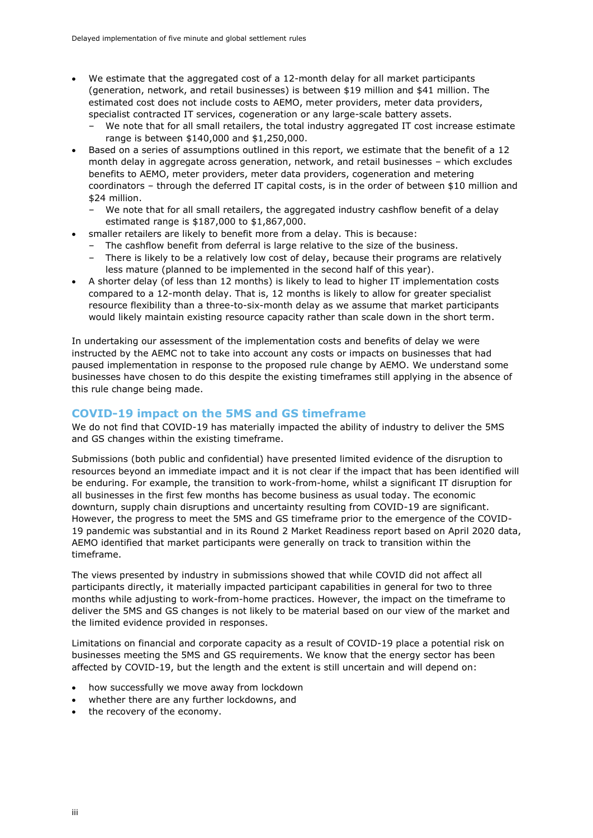- We estimate that the aggregated cost of a 12-month delay for all market participants (generation, network, and retail businesses) is between \$19 million and \$41 million. The estimated cost does not include costs to AEMO, meter providers, meter data providers, specialist contracted IT services, cogeneration or any large-scale battery assets.
	- We note that for all small retailers, the total industry aggregated IT cost increase estimate range is between \$140,000 and \$1,250,000.
- Based on a series of assumptions outlined in this report, we estimate that the benefit of a 12 month delay in aggregate across generation, network, and retail businesses – which excludes benefits to AEMO, meter providers, meter data providers, cogeneration and metering coordinators – through the deferred IT capital costs, is in the order of between \$10 million and \$24 million.
	- We note that for all small retailers, the aggregated industry cashflow benefit of a delay estimated range is \$187,000 to \$1,867,000.
- smaller retailers are likely to benefit more from a delay. This is because:
	- The cashflow benefit from deferral is large relative to the size of the business.
	- There is likely to be a relatively low cost of delay, because their programs are relatively less mature (planned to be implemented in the second half of this year).
- A shorter delay (of less than 12 months) is likely to lead to higher IT implementation costs compared to a 12-month delay. That is, 12 months is likely to allow for greater specialist resource flexibility than a three-to-six-month delay as we assume that market participants would likely maintain existing resource capacity rather than scale down in the short term.

In undertaking our assessment of the implementation costs and benefits of delay we were instructed by the AEMC not to take into account any costs or impacts on businesses that had paused implementation in response to the proposed rule change by AEMO. We understand some businesses have chosen to do this despite the existing timeframes still applying in the absence of this rule change being made.

#### <span id="page-6-0"></span>**COVID-19 impact on the 5MS and GS timeframe**

We do not find that COVID-19 has materially impacted the ability of industry to deliver the 5MS and GS changes within the existing timeframe.

Submissions (both public and confidential) have presented limited evidence of the disruption to resources beyond an immediate impact and it is not clear if the impact that has been identified will be enduring. For example, the transition to work-from-home, whilst a significant IT disruption for all businesses in the first few months has become business as usual today. The economic downturn, supply chain disruptions and uncertainty resulting from COVID-19 are significant. However, the progress to meet the 5MS and GS timeframe prior to the emergence of the COVID-19 pandemic was substantial and in its Round 2 Market Readiness report based on April 2020 data, AEMO identified that market participants were generally on track to transition within the timeframe.

The views presented by industry in submissions showed that while COVID did not affect all participants directly, it materially impacted participant capabilities in general for two to three months while adjusting to work-from-home practices. However, the impact on the timeframe to deliver the 5MS and GS changes is not likely to be material based on our view of the market and the limited evidence provided in responses.

Limitations on financial and corporate capacity as a result of COVID-19 place a potential risk on businesses meeting the 5MS and GS requirements. We know that the energy sector has been affected by COVID-19, but the length and the extent is still uncertain and will depend on:

- how successfully we move away from lockdown
- whether there are any further lockdowns, and
- the recovery of the economy.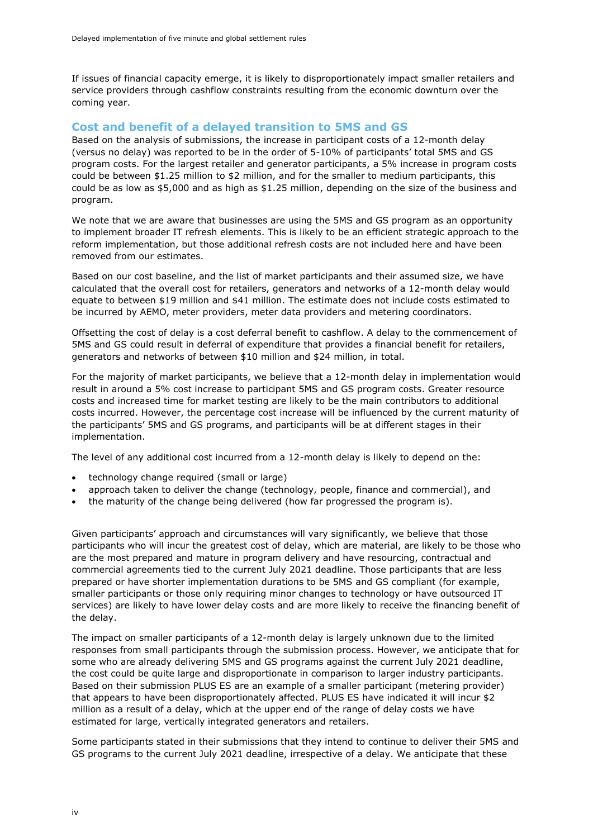If issues of financial capacity emerge, it is likely to disproportionately impact smaller retailers and service providers through cashflow constraints resulting from the economic downturn over the coming year.

#### <span id="page-7-0"></span>**Cost and benefit of a delayed transition to 5MS and GS**

Based on the analysis of submissions, the increase in participant costs of a 12-month delay (versus no delay) was reported to be in the order of 5-10% of participants' total 5MS and GS program costs. For the largest retailer and generator participants, a 5% increase in program costs could be between \$1.25 million to \$2 million, and for the smaller to medium participants, this could be as low as \$5,000 and as high as \$1.25 million, depending on the size of the business and program.

We note that we are aware that businesses are using the 5MS and GS program as an opportunity to implement broader IT refresh elements. This is likely to be an efficient strategic approach to the reform implementation, but those additional refresh costs are not included here and have been removed from our estimates.

Based on our cost baseline, and the list of market participants and their assumed size, we have calculated that the overall cost for retailers, generators and networks of a 12-month delay would equate to between \$19 million and \$41 million. The estimate does not include costs estimated to be incurred by AEMO, meter providers, meter data providers and metering coordinators.

Offsetting the cost of delay is a cost deferral benefit to cashflow. A delay to the commencement of 5MS and GS could result in deferral of expenditure that provides a financial benefit for retailers, generators and networks of between \$10 million and \$24 million, in total.

For the majority of market participants, we believe that a 12-month delay in implementation would result in around a 5% cost increase to participant 5MS and GS program costs. Greater resource costs and increased time for market testing are likely to be the main contributors to additional costs incurred. However, the percentage cost increase will be influenced by the current maturity of the participants' 5MS and GS programs, and participants will be at different stages in their implementation.

The level of any additional cost incurred from a 12-month delay is likely to depend on the:

- technology change required (small or large)
- approach taken to deliver the change (technology, people, finance and commercial), and
- the maturity of the change being delivered (how far progressed the program is).

Given participants' approach and circumstances will vary significantly, we believe that those participants who will incur the greatest cost of delay, which are material, are likely to be those who are the most prepared and mature in program delivery and have resourcing, contractual and commercial agreements tied to the current July 2021 deadline. Those participants that are less prepared or have shorter implementation durations to be 5MS and GS compliant (for example, smaller participants or those only requiring minor changes to technology or have outsourced IT services) are likely to have lower delay costs and are more likely to receive the financing benefit of the delay.

The impact on smaller participants of a 12-month delay is largely unknown due to the limited responses from small participants through the submission process. However, we anticipate that for some who are already delivering 5MS and GS programs against the current July 2021 deadline, the cost could be quite large and disproportionate in comparison to larger industry participants. Based on their submission PLUS ES are an example of a smaller participant (metering provider) that appears to have been disproportionately affected. PLUS ES have indicated it will incur \$2 million as a result of a delay, which at the upper end of the range of delay costs we have estimated for large, vertically integrated generators and retailers.

Some participants stated in their submissions that they intend to continue to deliver their 5MS and GS programs to the current July 2021 deadline, irrespective of a delay. We anticipate that these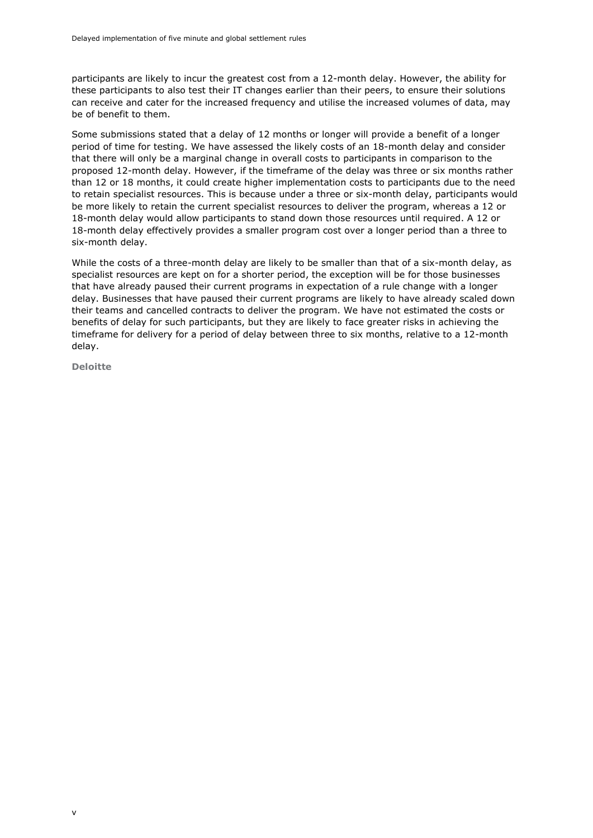participants are likely to incur the greatest cost from a 12-month delay. However, the ability for these participants to also test their IT changes earlier than their peers, to ensure their solutions can receive and cater for the increased frequency and utilise the increased volumes of data, may be of benefit to them.

Some submissions stated that a delay of 12 months or longer will provide a benefit of a longer period of time for testing. We have assessed the likely costs of an 18-month delay and consider that there will only be a marginal change in overall costs to participants in comparison to the proposed 12-month delay. However, if the timeframe of the delay was three or six months rather than 12 or 18 months, it could create higher implementation costs to participants due to the need to retain specialist resources. This is because under a three or six-month delay, participants would be more likely to retain the current specialist resources to deliver the program, whereas a 12 or 18-month delay would allow participants to stand down those resources until required. A 12 or 18-month delay effectively provides a smaller program cost over a longer period than a three to six-month delay.

While the costs of a three-month delay are likely to be smaller than that of a six-month delay, as specialist resources are kept on for a shorter period, the exception will be for those businesses that have already paused their current programs in expectation of a rule change with a longer delay. Businesses that have paused their current programs are likely to have already scaled down their teams and cancelled contracts to deliver the program. We have not estimated the costs or benefits of delay for such participants, but they are likely to face greater risks in achieving the timeframe for delivery for a period of delay between three to six months, relative to a 12-month delay.

**Deloitte**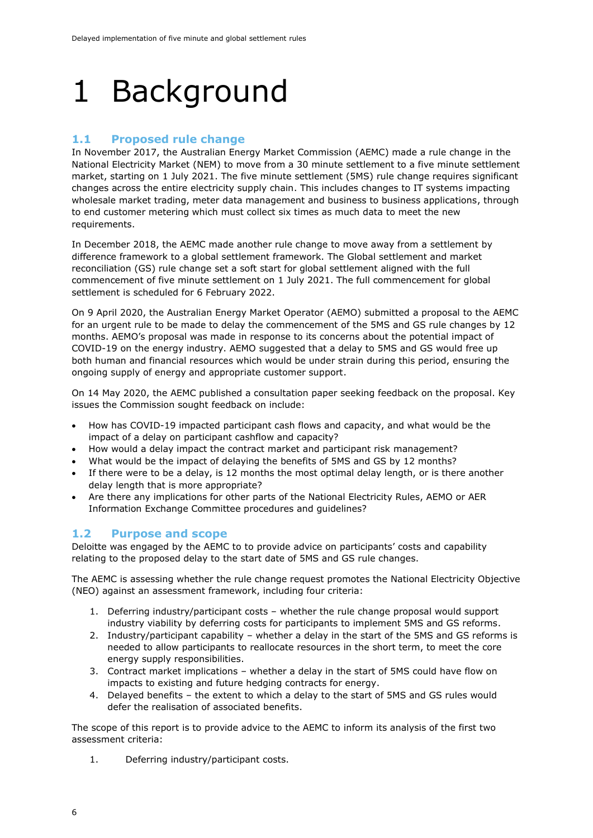### <span id="page-9-0"></span>1 Background

#### <span id="page-9-1"></span>**1.1 Proposed rule change**

In November 2017, the Australian Energy Market Commission (AEMC) made a rule change in the National Electricity Market (NEM) to move from a 30 minute settlement to a five minute settlement market, starting on 1 July 2021. The five minute settlement (5MS) rule change requires significant changes across the entire electricity supply chain. This includes changes to IT systems impacting wholesale market trading, meter data management and business to business applications, through to end customer metering which must collect six times as much data to meet the new requirements.

In December 2018, the AEMC made another rule change to move away from a settlement by difference framework to a global settlement framework. The Global settlement and market reconciliation (GS) rule change set a soft start for global settlement aligned with the full commencement of five minute settlement on 1 July 2021. The full commencement for global settlement is scheduled for 6 February 2022.

On 9 April 2020, the Australian Energy Market Operator (AEMO) submitted a proposal to the AEMC for an urgent rule to be made to delay the commencement of the 5MS and GS rule changes by 12 months. AEMO's proposal was made in response to its concerns about the potential impact of COVID-19 on the energy industry. AEMO suggested that a delay to 5MS and GS would free up both human and financial resources which would be under strain during this period, ensuring the ongoing supply of energy and appropriate customer support.

On 14 May 2020, the AEMC published a consultation paper seeking feedback on the proposal. Key issues the Commission sought feedback on include:

- How has COVID-19 impacted participant cash flows and capacity, and what would be the impact of a delay on participant cashflow and capacity?
- How would a delay impact the contract market and participant risk management?
- What would be the impact of delaying the benefits of 5MS and GS by 12 months?
- If there were to be a delay, is 12 months the most optimal delay length, or is there another delay length that is more appropriate?
- Are there any implications for other parts of the National Electricity Rules, AEMO or AER Information Exchange Committee procedures and guidelines?

#### <span id="page-9-2"></span>**1.2 Purpose and scope**

Deloitte was engaged by the AEMC to to provide advice on participants' costs and capability relating to the proposed delay to the start date of 5MS and GS rule changes.

The AEMC is assessing whether the rule change request promotes the National Electricity Objective (NEO) against an assessment framework, including four criteria:

- 1. Deferring industry/participant costs whether the rule change proposal would support industry viability by deferring costs for participants to implement 5MS and GS reforms.
- 2. Industry/participant capability whether a delay in the start of the 5MS and GS reforms is needed to allow participants to reallocate resources in the short term, to meet the core energy supply responsibilities.
- 3. Contract market implications whether a delay in the start of 5MS could have flow on impacts to existing and future hedging contracts for energy.
- 4. Delayed benefits the extent to which a delay to the start of 5MS and GS rules would defer the realisation of associated benefits.

The scope of this report is to provide advice to the AEMC to inform its analysis of the first two assessment criteria:

1. Deferring industry/participant costs.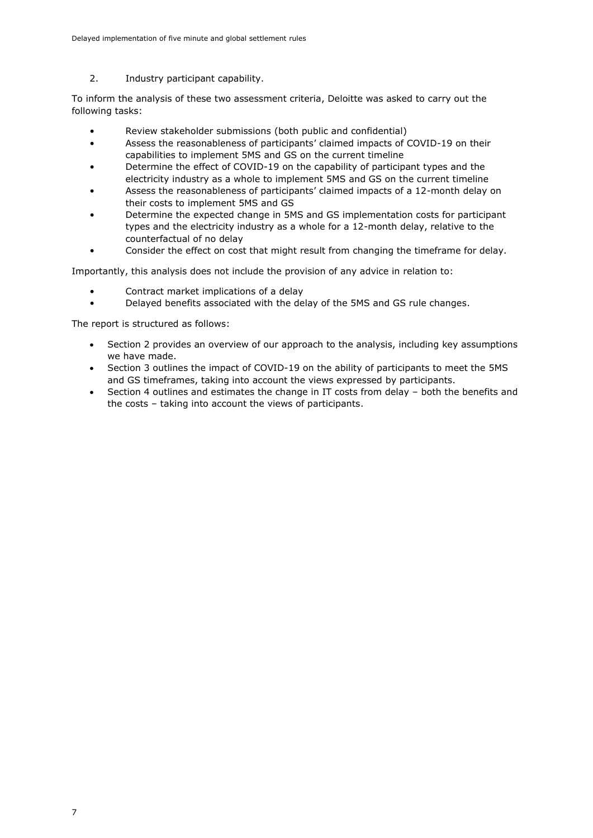2. Industry participant capability.

To inform the analysis of these two assessment criteria, Deloitte was asked to carry out the following tasks:

- Review stakeholder submissions (both public and confidential)
- Assess the reasonableness of participants' claimed impacts of COVID-19 on their capabilities to implement 5MS and GS on the current timeline
- Determine the effect of COVID-19 on the capability of participant types and the electricity industry as a whole to implement 5MS and GS on the current timeline
- Assess the reasonableness of participants' claimed impacts of a 12-month delay on their costs to implement 5MS and GS
- Determine the expected change in 5MS and GS implementation costs for participant types and the electricity industry as a whole for a 12-month delay, relative to the counterfactual of no delay
- Consider the effect on cost that might result from changing the timeframe for delay.

Importantly, this analysis does not include the provision of any advice in relation to:

- Contract market implications of a delay
- Delayed benefits associated with the delay of the 5MS and GS rule changes.

The report is structured as follows:

- Section 2 provides an overview of our approach to the analysis, including key assumptions we have made.
- Section 3 outlines the impact of COVID-19 on the ability of participants to meet the 5MS and GS timeframes, taking into account the views expressed by participants.
- Section 4 outlines and estimates the change in IT costs from delay both the benefits and the costs – taking into account the views of participants.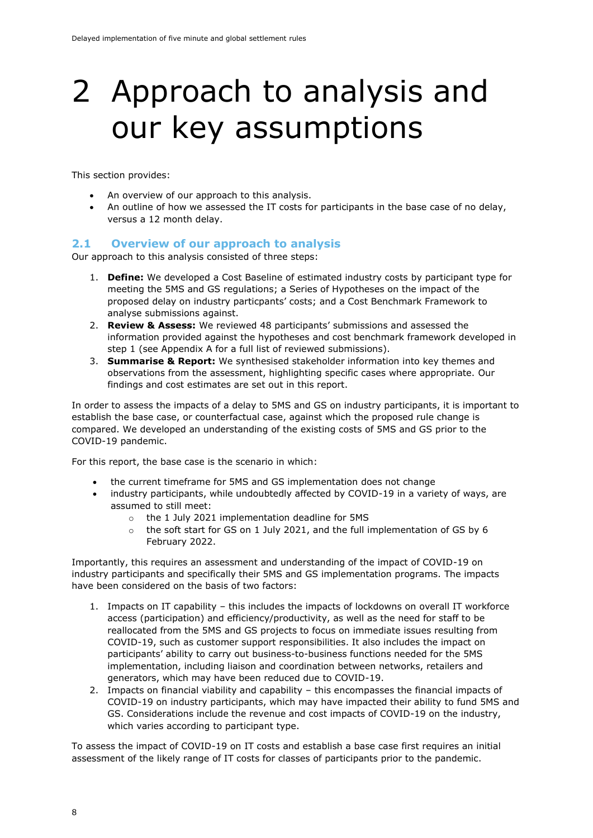### <span id="page-11-0"></span>2 Approach to analysis and our key assumptions

This section provides:

- An overview of our approach to this analysis.
- An outline of how we assessed the IT costs for participants in the base case of no delay, versus a 12 month delay.

#### <span id="page-11-1"></span>**2.1 Overview of our approach to analysis**

Our approach to this analysis consisted of three steps:

- 1. **Define:** We developed a Cost Baseline of estimated industry costs by participant type for meeting the 5MS and GS regulations; a Series of Hypotheses on the impact of the proposed delay on industry particpants' costs; and a Cost Benchmark Framework to analyse submissions against.
- 2. **Review & Assess:** We reviewed 48 participants' submissions and assessed the information provided against the hypotheses and cost benchmark framework developed in step 1 (see [Appendix A](#page-34-0) for a full list of reviewed submissions).
- 3. **Summarise & Report:** We synthesised stakeholder information into key themes and observations from the assessment, highlighting specific cases where appropriate. Our findings and cost estimates are set out in this report.

In order to assess the impacts of a delay to 5MS and GS on industry participants, it is important to establish the base case, or counterfactual case, against which the proposed rule change is compared. We developed an understanding of the existing costs of 5MS and GS prior to the COVID-19 pandemic.

For this report, the base case is the scenario in which:

- the current timeframe for 5MS and GS implementation does not change
- industry participants, while undoubtedly affected by COVID-19 in a variety of ways, are assumed to still meet:
	- o the 1 July 2021 implementation deadline for 5MS
	- $\circ$  the soft start for GS on 1 July 2021, and the full implementation of GS by 6 February 2022.

Importantly, this requires an assessment and understanding of the impact of COVID-19 on industry participants and specifically their 5MS and GS implementation programs. The impacts have been considered on the basis of two factors:

- 1. Impacts on IT capability this includes the impacts of lockdowns on overall IT workforce access (participation) and efficiency/productivity, as well as the need for staff to be reallocated from the 5MS and GS projects to focus on immediate issues resulting from COVID-19, such as customer support responsibilities. It also includes the impact on participants' ability to carry out business-to-business functions needed for the 5MS implementation, including liaison and coordination between networks, retailers and generators, which may have been reduced due to COVID-19.
- 2. Impacts on financial viability and capability this encompasses the financial impacts of COVID-19 on industry participants, which may have impacted their ability to fund 5MS and GS. Considerations include the revenue and cost impacts of COVID-19 on the industry, which varies according to participant type.

To assess the impact of COVID-19 on IT costs and establish a base case first requires an initial assessment of the likely range of IT costs for classes of participants prior to the pandemic.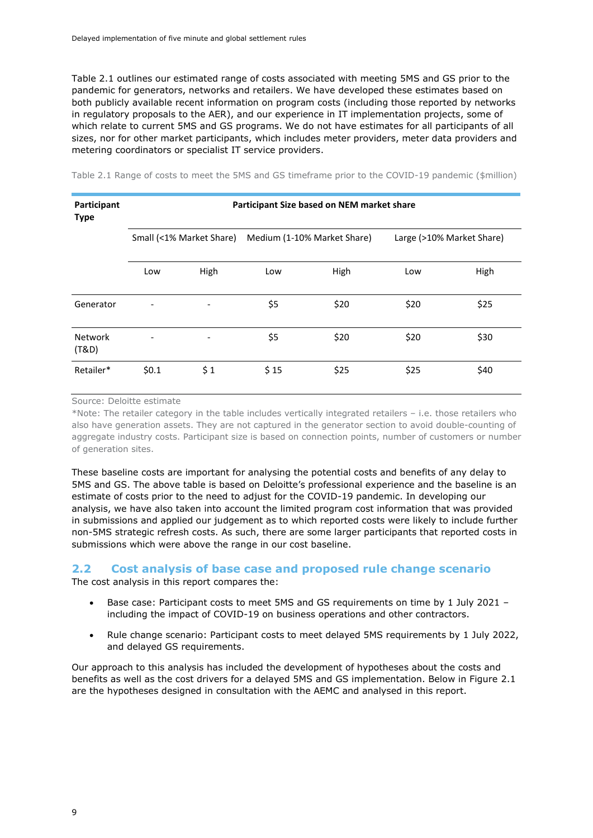Table 2.1 outlines our estimated range of costs associated with meeting 5MS and GS prior to the pandemic for generators, networks and retailers. We have developed these estimates based on both publicly available recent information on program costs (including those reported by networks in regulatory proposals to the AER), and our experience in IT implementation projects, some of which relate to current 5MS and GS programs. We do not have estimates for all participants of all sizes, nor for other market participants, which includes meter providers, meter data providers and metering coordinators or specialist IT service providers.

| Participant<br><b>Type</b> | Participant Size based on NEM market share |                          |                             |      |                           |      |  |  |  |
|----------------------------|--------------------------------------------|--------------------------|-----------------------------|------|---------------------------|------|--|--|--|
|                            |                                            | Small (<1% Market Share) | Medium (1-10% Market Share) |      | Large (>10% Market Share) |      |  |  |  |
|                            | Low                                        | High                     | Low                         | High | Low                       | High |  |  |  |
| Generator                  | $\qquad \qquad \blacksquare$               | -                        | \$5                         | \$20 | \$20                      | \$25 |  |  |  |
| <b>Network</b><br>(T&D)    |                                            |                          | \$5                         | \$20 | \$20                      | \$30 |  |  |  |
| Retailer*                  | \$0.1                                      | \$1                      | \$15                        | \$25 | \$25                      | \$40 |  |  |  |

<span id="page-12-1"></span>Table 2.1 Range of costs to meet the 5MS and GS timeframe prior to the COVID-19 pandemic (\$million)

Source: Deloitte estimate

\*Note: The retailer category in the table includes vertically integrated retailers – i.e. those retailers who also have generation assets. They are not captured in the generator section to avoid double-counting of aggregate industry costs. Participant size is based on connection points, number of customers or number of generation sites.

These baseline costs are important for analysing the potential costs and benefits of any delay to 5MS and GS. The above table is based on Deloitte's professional experience and the baseline is an estimate of costs prior to the need to adjust for the COVID-19 pandemic. In developing our analysis, we have also taken into account the limited program cost information that was provided in submissions and applied our judgement as to which reported costs were likely to include further non-5MS strategic refresh costs. As such, there are some larger participants that reported costs in submissions which were above the range in our cost baseline.

#### <span id="page-12-0"></span>**2.2 Cost analysis of base case and proposed rule change scenario**

The cost analysis in this report compares the:

- Base case: Participant costs to meet 5MS and GS requirements on time by 1 July 2021 including the impact of COVID-19 on business operations and other contractors.
- Rule change scenario: Participant costs to meet delayed 5MS requirements by 1 July 2022, and delayed GS requirements.

Our approach to this analysis has included the development of hypotheses about the costs and benefits as well as the cost drivers for a delayed 5MS and GS implementation. Below in Figure 2.1 are the hypotheses designed in consultation with the AEMC and analysed in this report.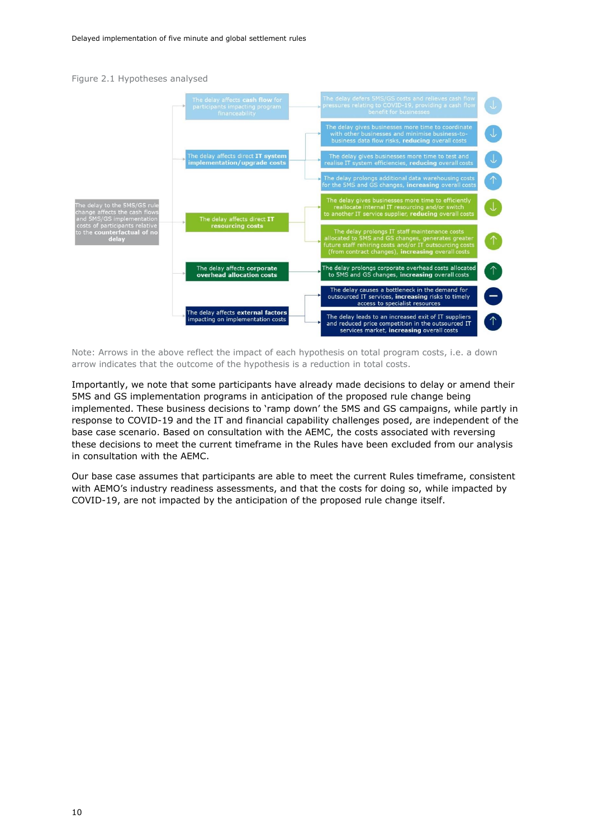#### <span id="page-13-0"></span>Figure 2.1 Hypotheses analysed



Note: Arrows in the above reflect the impact of each hypothesis on total program costs, i.e. a down arrow indicates that the outcome of the hypothesis is a reduction in total costs.

Importantly, we note that some participants have already made decisions to delay or amend their 5MS and GS implementation programs in anticipation of the proposed rule change being implemented. These business decisions to 'ramp down' the 5MS and GS campaigns, while partly in response to COVID-19 and the IT and financial capability challenges posed, are independent of the base case scenario. Based on consultation with the AEMC, the costs associated with reversing these decisions to meet the current timeframe in the Rules have been excluded from our analysis in consultation with the AEMC.

Our base case assumes that participants are able to meet the current Rules timeframe, consistent with AEMO's industry readiness assessments, and that the costs for doing so, while impacted by COVID-19, are not impacted by the anticipation of the proposed rule change itself.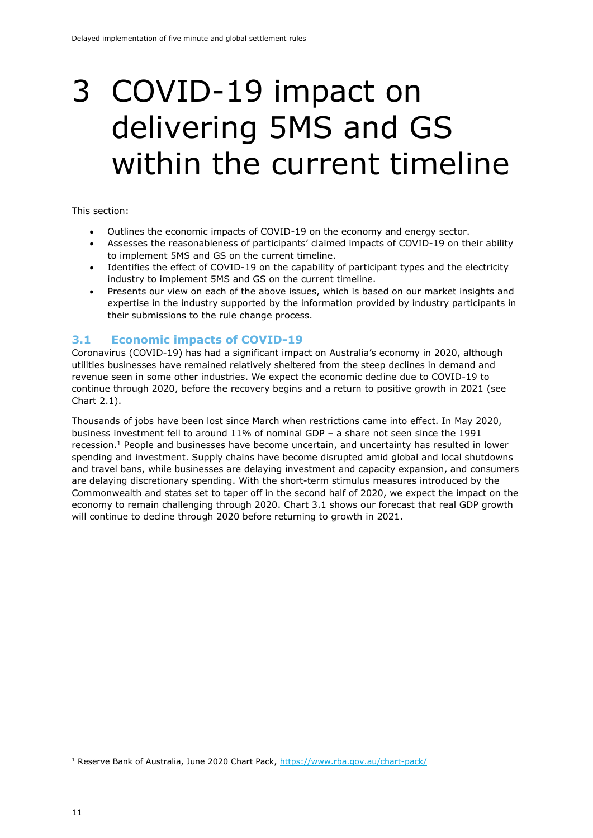### <span id="page-14-0"></span>3 COVID-19 impact on delivering 5MS and GS within the current timeline

#### This section:

- Outlines the economic impacts of COVID-19 on the economy and energy sector.
- Assesses the reasonableness of participants' claimed impacts of COVID-19 on their ability to implement 5MS and GS on the current timeline.
- Identifies the effect of COVID-19 on the capability of participant types and the electricity industry to implement 5MS and GS on the current timeline.
- Presents our view on each of the above issues, which is based on our market insights and expertise in the industry supported by the information provided by industry participants in their submissions to the rule change process.

#### <span id="page-14-1"></span>**3.1 Economic impacts of COVID-19**

Coronavirus (COVID-19) has had a significant impact on Australia's economy in 2020, although utilities businesses have remained relatively sheltered from the steep declines in demand and revenue seen in some other industries. We expect the economic decline due to COVID-19 to continue through 2020, before the recovery begins and a return to positive growth in 2021 (see Chart 2.1).

Thousands of jobs have been lost since March when restrictions came into effect. In May 2020, business investment fell to around 11% of nominal GDP – a share not seen since the 1991 recession.<sup>1</sup> People and businesses have become uncertain, and uncertainty has resulted in lower spending and investment. Supply chains have become disrupted amid global and local shutdowns and travel bans, while businesses are delaying investment and capacity expansion, and consumers are delaying discretionary spending. With the short-term stimulus measures introduced by the Commonwealth and states set to taper off in the second half of 2020, we expect the impact on the economy to remain challenging through 2020. Chart 3.1 shows our forecast that real GDP growth will continue to decline through 2020 before returning to growth in 2021.

<sup>&</sup>lt;sup>1</sup> Reserve Bank of Australia, June 2020 Chart Pack,<https://www.rba.gov.au/chart-pack/>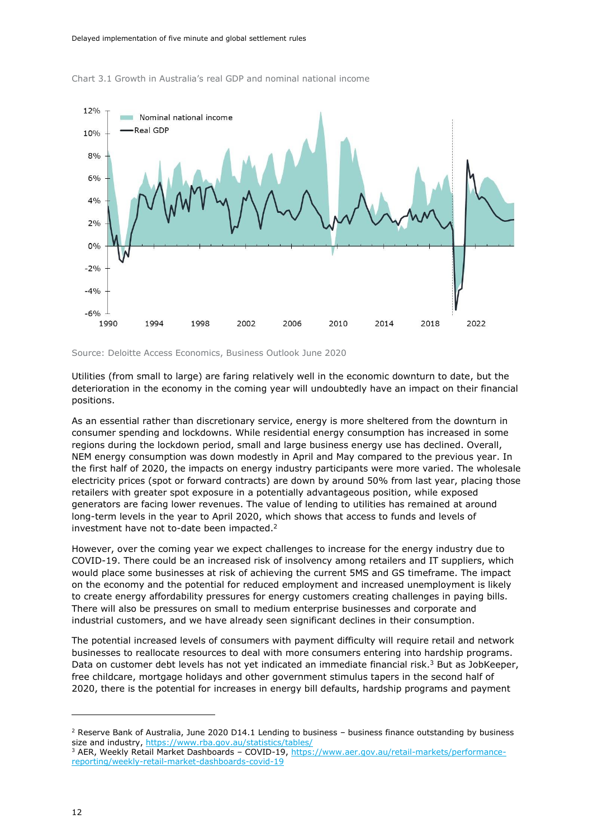

<span id="page-15-0"></span>

Source: Deloitte Access Economics, Business Outlook June 2020

Utilities (from small to large) are faring relatively well in the economic downturn to date, but the deterioration in the economy in the coming year will undoubtedly have an impact on their financial positions.

As an essential rather than discretionary service, energy is more sheltered from the downturn in consumer spending and lockdowns. While residential energy consumption has increased in some regions during the lockdown period, small and large business energy use has declined. Overall, NEM energy consumption was down modestly in April and May compared to the previous year. In the first half of 2020, the impacts on energy industry participants were more varied. The wholesale electricity prices (spot or forward contracts) are down by around 50% from last year, placing those retailers with greater spot exposure in a potentially advantageous position, while exposed generators are facing lower revenues. The value of lending to utilities has remained at around long-term levels in the year to April 2020, which shows that access to funds and levels of investment have not to-date been impacted. 2

However, over the coming year we expect challenges to increase for the energy industry due to COVID-19. There could be an increased risk of insolvency among retailers and IT suppliers, which would place some businesses at risk of achieving the current 5MS and GS timeframe. The impact on the economy and the potential for reduced employment and increased unemployment is likely to create energy affordability pressures for energy customers creating challenges in paying bills. There will also be pressures on small to medium enterprise businesses and corporate and industrial customers, and we have already seen significant declines in their consumption.

The potential increased levels of consumers with payment difficulty will require retail and network businesses to reallocate resources to deal with more consumers entering into hardship programs. Data on customer debt levels has not yet indicated an immediate financial risk.<sup>3</sup> But as JobKeeper, free childcare, mortgage holidays and other government stimulus tapers in the second half of 2020, there is the potential for increases in energy bill defaults, hardship programs and payment

 $2$  Reserve Bank of Australia, June 2020 D14.1 Lending to business – business finance outstanding by business size and industry,<https://www.rba.gov.au/statistics/tables/>

<sup>&</sup>lt;sup>3</sup> AER, Weekly Retail Market Dashboards – COVID-19, [https://www.aer.gov.au/retail-markets/performance](https://www.aer.gov.au/retail-markets/performance-reporting/weekly-retail-market-dashboards-covid-19)[reporting/weekly-retail-market-dashboards-covid-19](https://www.aer.gov.au/retail-markets/performance-reporting/weekly-retail-market-dashboards-covid-19)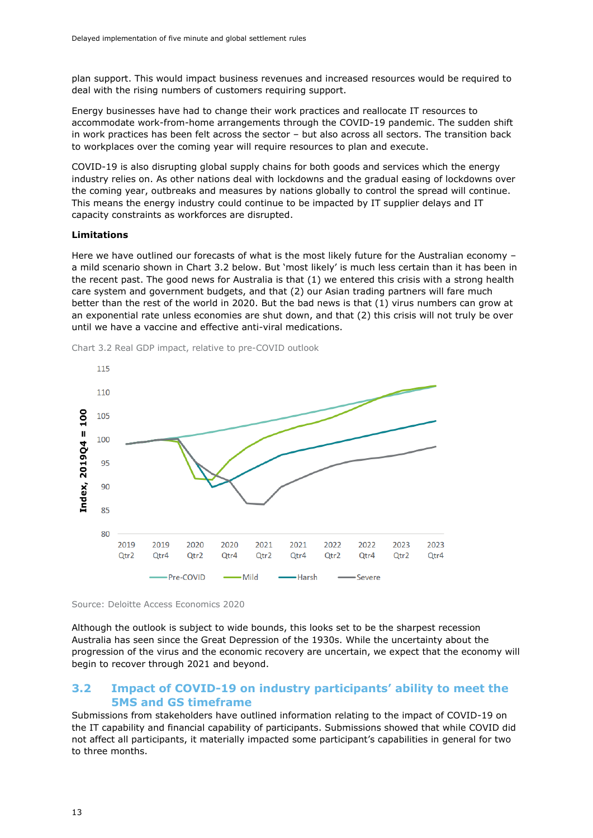plan support. This would impact business revenues and increased resources would be required to deal with the rising numbers of customers requiring support.

Energy businesses have had to change their work practices and reallocate IT resources to accommodate work-from-home arrangements through the COVID-19 pandemic. The sudden shift in work practices has been felt across the sector – but also across all sectors. The transition back to workplaces over the coming year will require resources to plan and execute.

COVID-19 is also disrupting global supply chains for both goods and services which the energy industry relies on. As other nations deal with lockdowns and the gradual easing of lockdowns over the coming year, outbreaks and measures by nations globally to control the spread will continue. This means the energy industry could continue to be impacted by IT supplier delays and IT capacity constraints as workforces are disrupted.

#### **Limitations**

Here we have outlined our forecasts of what is the most likely future for the Australian economy – a mild scenario shown in Chart 3.2 below. But 'most likely' is much less certain than it has been in the recent past. The good news for Australia is that (1) we entered this crisis with a strong health care system and government budgets, and that (2) our Asian trading partners will fare much better than the rest of the world in 2020. But the bad news is that (1) virus numbers can grow at an exponential rate unless economies are shut down, and that (2) this crisis will not truly be over until we have a vaccine and effective anti-viral medications.



<span id="page-16-1"></span>Chart 3.2 Real GDP impact, relative to pre-COVID outlook



Although the outlook is subject to wide bounds, this looks set to be the sharpest recession Australia has seen since the Great Depression of the 1930s. While the uncertainty about the progression of the virus and the economic recovery are uncertain, we expect that the economy will begin to recover through 2021 and beyond.

#### <span id="page-16-0"></span>**3.2 Impact of COVID-19 on industry participants' ability to meet the 5MS and GS timeframe**

Submissions from stakeholders have outlined information relating to the impact of COVID-19 on the IT capability and financial capability of participants. Submissions showed that while COVID did not affect all participants, it materially impacted some participant's capabilities in general for two to three months.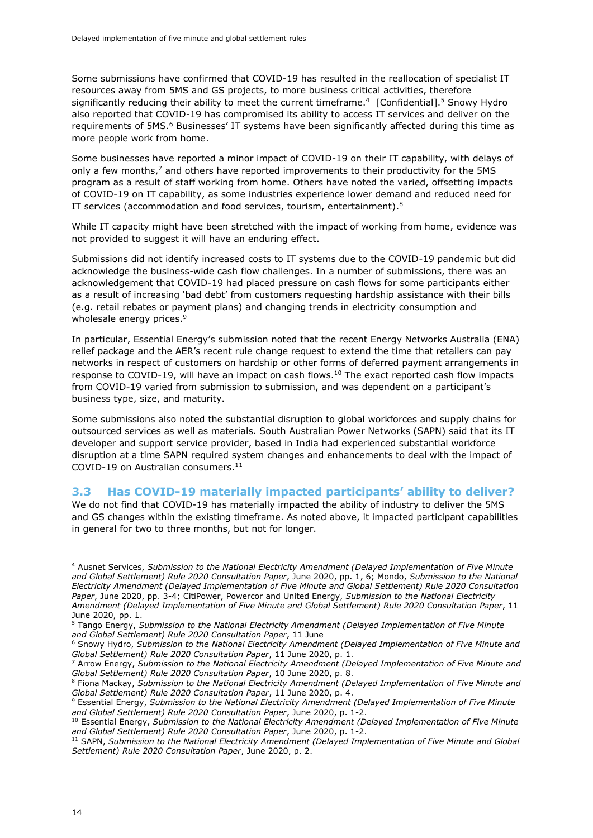Some submissions have confirmed that COVID-19 has resulted in the reallocation of specialist IT resources away from 5MS and GS projects, to more business critical activities, therefore significantly reducing their ability to meet the current timeframe.<sup>4</sup> [Confidential].<sup>5</sup> Snowy Hydro also reported that COVID-19 has compromised its ability to access IT services and deliver on the requirements of 5MS.<sup>6</sup> Businesses' IT systems have been significantly affected during this time as more people work from home.

Some businesses have reported a minor impact of COVID-19 on their IT capability, with delays of only a few months, <sup>7</sup> and others have reported improvements to their productivity for the 5MS program as a result of staff working from home. Others have noted the varied, offsetting impacts of COVID-19 on IT capability, as some industries experience lower demand and reduced need for IT services (accommodation and food services, tourism, entertainment). $8$ 

While IT capacity might have been stretched with the impact of working from home, evidence was not provided to suggest it will have an enduring effect.

Submissions did not identify increased costs to IT systems due to the COVID-19 pandemic but did acknowledge the business-wide cash flow challenges. In a number of submissions, there was an acknowledgement that COVID-19 had placed pressure on cash flows for some participants either as a result of increasing 'bad debt' from customers requesting hardship assistance with their bills (e.g. retail rebates or payment plans) and changing trends in electricity consumption and wholesale energy prices.<sup>9</sup>

In particular, Essential Energy's submission noted that the recent Energy Networks Australia (ENA) relief package and the AER's recent rule change request to extend the time that retailers can pay networks in respect of customers on hardship or other forms of deferred payment arrangements in response to COVID-19, will have an impact on cash flows.<sup>10</sup> The exact reported cash flow impacts from COVID-19 varied from submission to submission, and was dependent on a participant's business type, size, and maturity.

Some submissions also noted the substantial disruption to global workforces and supply chains for outsourced services as well as materials. South Australian Power Networks (SAPN) said that its IT developer and support service provider, based in India had experienced substantial workforce disruption at a time SAPN required system changes and enhancements to deal with the impact of COVID-19 on Australian consumers.<sup>11</sup>

#### <span id="page-17-0"></span>**3.3 Has COVID-19 materially impacted participants' ability to deliver?**

We do not find that COVID-19 has materially impacted the ability of industry to deliver the 5MS and GS changes within the existing timeframe. As noted above, it impacted participant capabilities in general for two to three months, but not for longer.

<sup>6</sup> Snowy Hydro, *Submission to the National Electricity Amendment (Delayed Implementation of Five Minute and Global Settlement) Rule 2020 Consultation Paper*, 11 June 2020, p. 1.

<sup>4</sup> Ausnet Services, *Submission to the National Electricity Amendment (Delayed Implementation of Five Minute and Global Settlement) Rule 2020 Consultation Paper*, June 2020, pp. 1, 6; Mondo, *Submission to the National Electricity Amendment (Delayed Implementation of Five Minute and Global Settlement) Rule 2020 Consultation Paper*, June 2020, pp. 3-4; CitiPower, Powercor and United Energy, *Submission to the National Electricity Amendment (Delayed Implementation of Five Minute and Global Settlement) Rule 2020 Consultation Paper*, 11 June 2020, pp. 1.

<sup>5</sup> Tango Energy, *Submission to the National Electricity Amendment (Delayed Implementation of Five Minute and Global Settlement) Rule 2020 Consultation Paper*, 11 June

<sup>7</sup> Arrow Energy, *Submission to the National Electricity Amendment (Delayed Implementation of Five Minute and Global Settlement) Rule 2020 Consultation Paper*, 10 June 2020, p. 8.

<sup>8</sup> Fiona Mackay, *Submission to the National Electricity Amendment (Delayed Implementation of Five Minute and Global Settlement) Rule 2020 Consultation Paper*, 11 June 2020, p. 4.

<sup>9</sup> Essential Energy, *Submission to the National Electricity Amendment (Delayed Implementation of Five Minute and Global Settlement) Rule 2020 Consultation Paper*, June 2020, p. 1-2.

<sup>10</sup> Essential Energy, *Submission to the National Electricity Amendment (Delayed Implementation of Five Minute and Global Settlement) Rule 2020 Consultation Paper*, June 2020, p. 1-2.

<sup>11</sup> SAPN, *Submission to the National Electricity Amendment (Delayed Implementation of Five Minute and Global Settlement) Rule 2020 Consultation Paper*, June 2020, p. 2.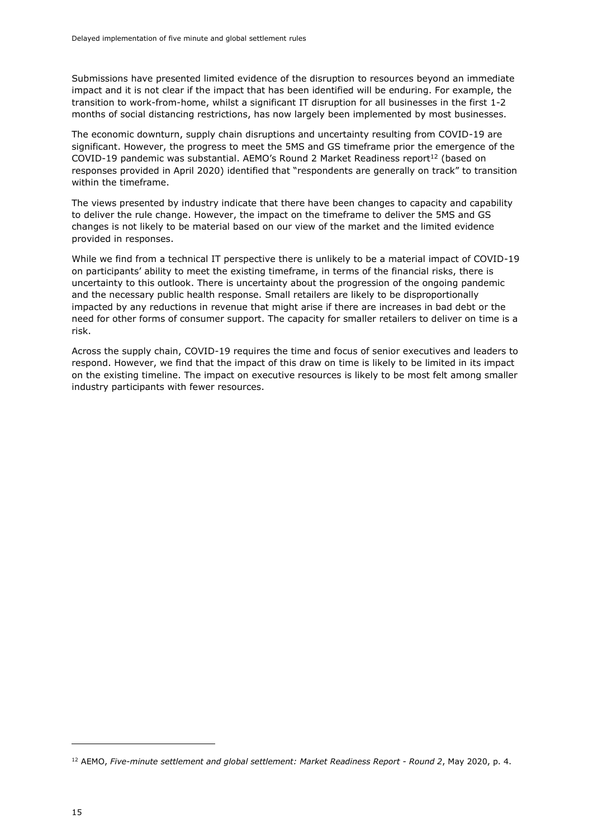Submissions have presented limited evidence of the disruption to resources beyond an immediate impact and it is not clear if the impact that has been identified will be enduring. For example, the transition to work-from-home, whilst a significant IT disruption for all businesses in the first 1-2 months of social distancing restrictions, has now largely been implemented by most businesses.

The economic downturn, supply chain disruptions and uncertainty resulting from COVID-19 are significant. However, the progress to meet the 5MS and GS timeframe prior the emergence of the  $COVID-19$  pandemic was substantial. AEMO's Round 2 Market Readiness report<sup>12</sup> (based on responses provided in April 2020) identified that "respondents are generally on track" to transition within the timeframe.

The views presented by industry indicate that there have been changes to capacity and capability to deliver the rule change. However, the impact on the timeframe to deliver the 5MS and GS changes is not likely to be material based on our view of the market and the limited evidence provided in responses.

While we find from a technical IT perspective there is unlikely to be a material impact of COVID-19 on participants' ability to meet the existing timeframe, in terms of the financial risks, there is uncertainty to this outlook. There is uncertainty about the progression of the ongoing pandemic and the necessary public health response. Small retailers are likely to be disproportionally impacted by any reductions in revenue that might arise if there are increases in bad debt or the need for other forms of consumer support. The capacity for smaller retailers to deliver on time is a risk.

Across the supply chain, COVID-19 requires the time and focus of senior executives and leaders to respond. However, we find that the impact of this draw on time is likely to be limited in its impact on the existing timeline. The impact on executive resources is likely to be most felt among smaller industry participants with fewer resources.

<sup>12</sup> AEMO, *Five-minute settlement and global settlement: Market Readiness Report - Round 2*, May 2020, p. 4.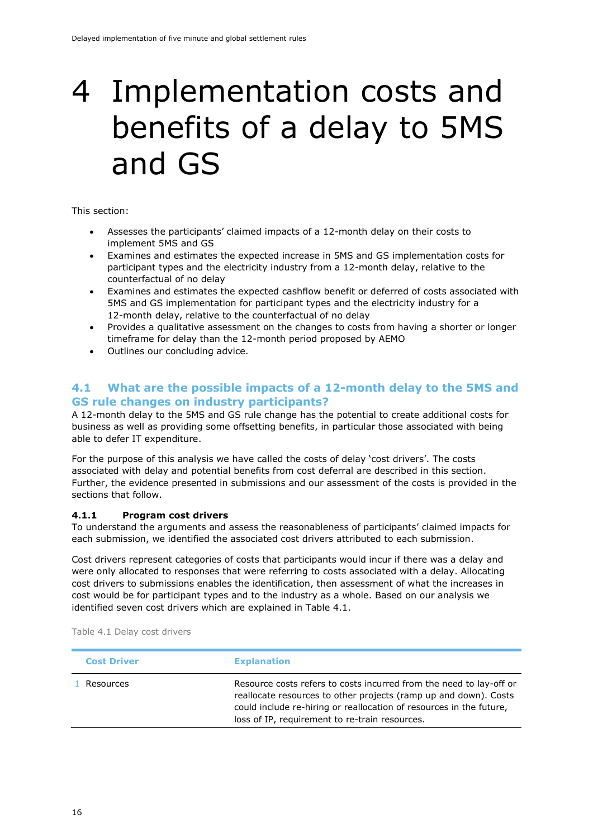### <span id="page-19-0"></span>4 Implementation costs and benefits of a delay to 5MS and GS

This section:

- Assesses the participants' claimed impacts of a 12-month delay on their costs to implement 5MS and GS
- Examines and estimates the expected increase in 5MS and GS implementation costs for participant types and the electricity industry from a 12-month delay, relative to the counterfactual of no delay
- Examines and estimates the expected cashflow benefit or deferred of costs associated with 5MS and GS implementation for participant types and the electricity industry for a 12-month delay, relative to the counterfactual of no delay
- Provides a qualitative assessment on the changes to costs from having a shorter or longer timeframe for delay than the 12-month period proposed by AEMO
- Outlines our concluding advice.

#### <span id="page-19-1"></span>**4.1 What are the possible impacts of a 12-month delay to the 5MS and GS rule changes on industry participants?**

A 12-month delay to the 5MS and GS rule change has the potential to create additional costs for business as well as providing some offsetting benefits, in particular those associated with being able to defer IT expenditure.

For the purpose of this analysis we have called the costs of delay 'cost drivers'. The costs associated with delay and potential benefits from cost deferral are described in this section. Further, the evidence presented in submissions and our assessment of the costs is provided in the sections that follow.

#### <span id="page-19-2"></span>**4.1.1 Program cost drivers**

To understand the arguments and assess the reasonableness of participants' claimed impacts for each submission, we identified the associated cost drivers attributed to each submission.

Cost drivers represent categories of costs that participants would incur if there was a delay and were only allocated to responses that were referring to costs associated with a delay. Allocating cost drivers to submissions enables the identification, then assessment of what the increases in cost would be for participant types and to the industry as a whole. Based on our analysis we identified seven cost drivers which are explained in Table 4.1.

<span id="page-19-3"></span>

|  |  |  |  | Table 4.1 Delay cost drivers |
|--|--|--|--|------------------------------|
|--|--|--|--|------------------------------|

| <b>Cost Driver</b> | <b>Explanation</b>                                                                                                                                                                                                                                               |
|--------------------|------------------------------------------------------------------------------------------------------------------------------------------------------------------------------------------------------------------------------------------------------------------|
| Resources          | Resource costs refers to costs incurred from the need to lay-off or<br>reallocate resources to other projects (ramp up and down). Costs<br>could include re-hiring or reallocation of resources in the future,<br>loss of IP, requirement to re-train resources. |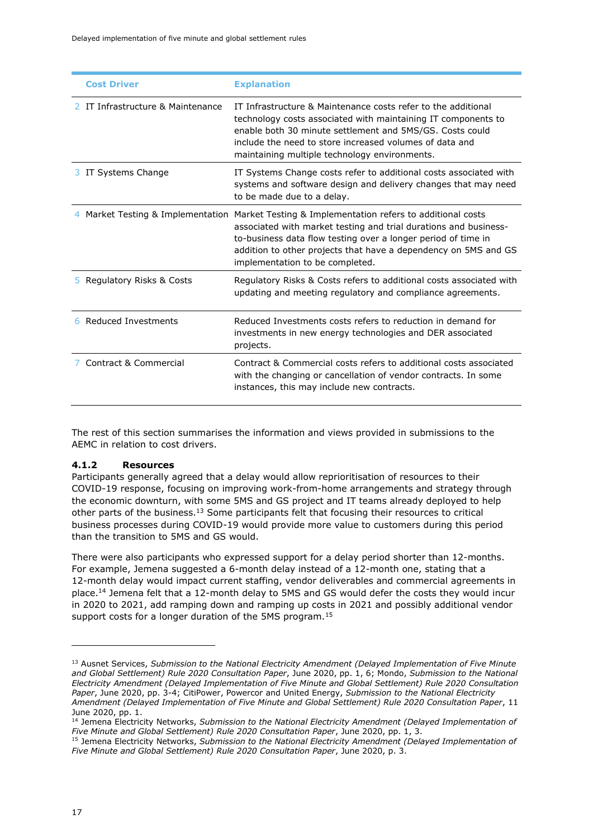| <b>Cost Driver</b>              | <b>Explanation</b>                                                                                                                                                                                                                                                                                                                    |
|---------------------------------|---------------------------------------------------------------------------------------------------------------------------------------------------------------------------------------------------------------------------------------------------------------------------------------------------------------------------------------|
| IT Infrastructure & Maintenance | IT Infrastructure & Maintenance costs refer to the additional<br>technology costs associated with maintaining IT components to<br>enable both 30 minute settlement and 5MS/GS. Costs could<br>include the need to store increased volumes of data and<br>maintaining multiple technology environments.                                |
| 3 IT Systems Change             | IT Systems Change costs refer to additional costs associated with<br>systems and software design and delivery changes that may need<br>to be made due to a delay.                                                                                                                                                                     |
|                                 | Market Testing & Implementation Market Testing & Implementation refers to additional costs<br>associated with market testing and trial durations and business-<br>to-business data flow testing over a longer period of time in<br>addition to other projects that have a dependency on 5MS and GS<br>implementation to be completed. |
| 5 Regulatory Risks & Costs      | Regulatory Risks & Costs refers to additional costs associated with<br>updating and meeting regulatory and compliance agreements.                                                                                                                                                                                                     |
| 6 Reduced Investments           | Reduced Investments costs refers to reduction in demand for<br>investments in new energy technologies and DER associated<br>projects.                                                                                                                                                                                                 |
| Contract & Commercial           | Contract & Commercial costs refers to additional costs associated<br>with the changing or cancellation of vendor contracts. In some<br>instances, this may include new contracts.                                                                                                                                                     |

The rest of this section summarises the information and views provided in submissions to the AEMC in relation to cost drivers.

#### <span id="page-20-0"></span>**4.1.2 Resources**

Participants generally agreed that a delay would allow reprioritisation of resources to their COVID-19 response, focusing on improving work-from-home arrangements and strategy through the economic downturn, with some 5MS and GS project and IT teams already deployed to help other parts of the business.<sup>13</sup> Some participants felt that focusing their resources to critical business processes during COVID-19 would provide more value to customers during this period than the transition to 5MS and GS would.

There were also participants who expressed support for a delay period shorter than 12-months. For example, Jemena suggested a 6-month delay instead of a 12-month one, stating that a 12-month delay would impact current staffing, vendor deliverables and commercial agreements in place.<sup>14</sup> Jemena felt that a 12-month delay to 5MS and GS would defer the costs they would incur in 2020 to 2021, add ramping down and ramping up costs in 2021 and possibly additional vendor support costs for a longer duration of the 5MS program.<sup>15</sup>

<sup>13</sup> Ausnet Services, *Submission to the National Electricity Amendment (Delayed Implementation of Five Minute and Global Settlement) Rule 2020 Consultation Paper*, June 2020, pp. 1, 6; Mondo, *Submission to the National Electricity Amendment (Delayed Implementation of Five Minute and Global Settlement) Rule 2020 Consultation Paper*, June 2020, pp. 3-4; CitiPower, Powercor and United Energy, *Submission to the National Electricity Amendment (Delayed Implementation of Five Minute and Global Settlement) Rule 2020 Consultation Paper*, 11 June 2020, pp. 1.

<sup>14</sup> Jemena Electricity Networks, *Submission to the National Electricity Amendment (Delayed Implementation of Five Minute and Global Settlement) Rule 2020 Consultation Paper*, June 2020, pp. 1, 3.

<sup>15</sup> Jemena Electricity Networks, *Submission to the National Electricity Amendment (Delayed Implementation of Five Minute and Global Settlement) Rule 2020 Consultation Paper*, June 2020, p. 3.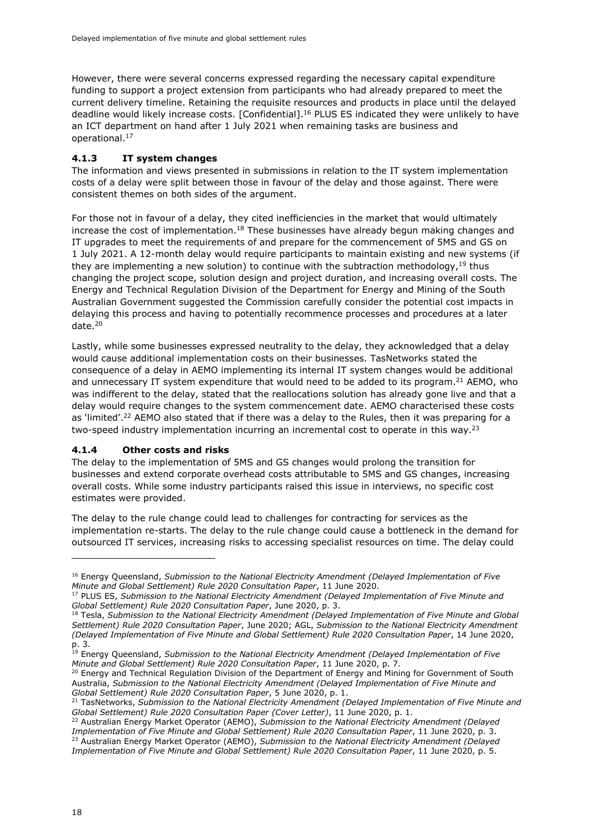However, there were several concerns expressed regarding the necessary capital expenditure funding to support a project extension from participants who had already prepared to meet the current delivery timeline. Retaining the requisite resources and products in place until the delayed deadline would likely increase costs. [Confidential].<sup>16</sup> PLUS ES indicated they were unlikely to have an ICT department on hand after 1 July 2021 when remaining tasks are business and operational.<sup>17</sup>

#### <span id="page-21-0"></span>**4.1.3 IT system changes**

The information and views presented in submissions in relation to the IT system implementation costs of a delay were split between those in favour of the delay and those against. There were consistent themes on both sides of the argument.

For those not in favour of a delay, they cited inefficiencies in the market that would ultimately increase the cost of implementation.<sup>18</sup> These businesses have already begun making changes and IT upgrades to meet the requirements of and prepare for the commencement of 5MS and GS on 1 July 2021. A 12-month delay would require participants to maintain existing and new systems (if they are implementing a new solution) to continue with the subtraction methodology,  $19$  thus changing the project scope, solution design and project duration, and increasing overall costs. The Energy and Technical Regulation Division of the Department for Energy and Mining of the South Australian Government suggested the Commission carefully consider the potential cost impacts in delaying this process and having to potentially recommence processes and procedures at a later date.<sup>20</sup>

Lastly, while some businesses expressed neutrality to the delay, they acknowledged that a delay would cause additional implementation costs on their businesses. TasNetworks stated the consequence of a delay in AEMO implementing its internal IT system changes would be additional and unnecessary IT system expenditure that would need to be added to its program.<sup>21</sup> AEMO, who was indifferent to the delay, stated that the reallocations solution has already gone live and that a delay would require changes to the system commencement date. AEMO characterised these costs as 'limited'.<sup>22</sup> AEMO also stated that if there was a delay to the Rules, then it was preparing for a two-speed industry implementation incurring an incremental cost to operate in this way.<sup>23</sup>

#### <span id="page-21-1"></span>**4.1.4 Other costs and risks**

The delay to the implementation of 5MS and GS changes would prolong the transition for businesses and extend corporate overhead costs attributable to 5MS and GS changes, increasing overall costs. While some industry participants raised this issue in interviews, no specific cost estimates were provided.

The delay to the rule change could lead to challenges for contracting for services as the implementation re-starts. The delay to the rule change could cause a bottleneck in the demand for outsourced IT services, increasing risks to accessing specialist resources on time. The delay could

<sup>20</sup> Energy and Technical Regulation Division of the Department of Energy and Mining for Government of South Australia, *Submission to the National Electricity Amendment (Delayed Implementation of Five Minute and Global Settlement) Rule 2020 Consultation Paper*, 5 June 2020, p. 1.

<sup>16</sup> Energy Queensland, *Submission to the National Electricity Amendment (Delayed Implementation of Five Minute and Global Settlement) Rule 2020 Consultation Paper*, 11 June 2020.

<sup>17</sup> PLUS ES, *Submission to the National Electricity Amendment (Delayed Implementation of Five Minute and Global Settlement) Rule 2020 Consultation Paper*, June 2020, p. 3.

<sup>18</sup> Tesla, *Submission to the National Electricity Amendment (Delayed Implementation of Five Minute and Global Settlement) Rule 2020 Consultation Paper*, June 2020; AGL, *Submission to the National Electricity Amendment (Delayed Implementation of Five Minute and Global Settlement) Rule 2020 Consultation Paper*, 14 June 2020, p. 3.

<sup>19</sup> Energy Queensland, *Submission to the National Electricity Amendment (Delayed Implementation of Five Minute and Global Settlement) Rule 2020 Consultation Paper*, 11 June 2020, p. 7.

<sup>21</sup> TasNetworks, *Submission to the National Electricity Amendment (Delayed Implementation of Five Minute and Global Settlement) Rule 2020 Consultation Paper (Cover Letter)*, 11 June 2020, p. 1.

<sup>22</sup> Australian Energy Market Operator (AEMO), *Submission to the National Electricity Amendment (Delayed Implementation of Five Minute and Global Settlement) Rule 2020 Consultation Paper*, 11 June 2020, p. 3. <sup>23</sup> Australian Energy Market Operator (AEMO), *Submission to the National Electricity Amendment (Delayed Implementation of Five Minute and Global Settlement) Rule 2020 Consultation Paper*, 11 June 2020, p. 5.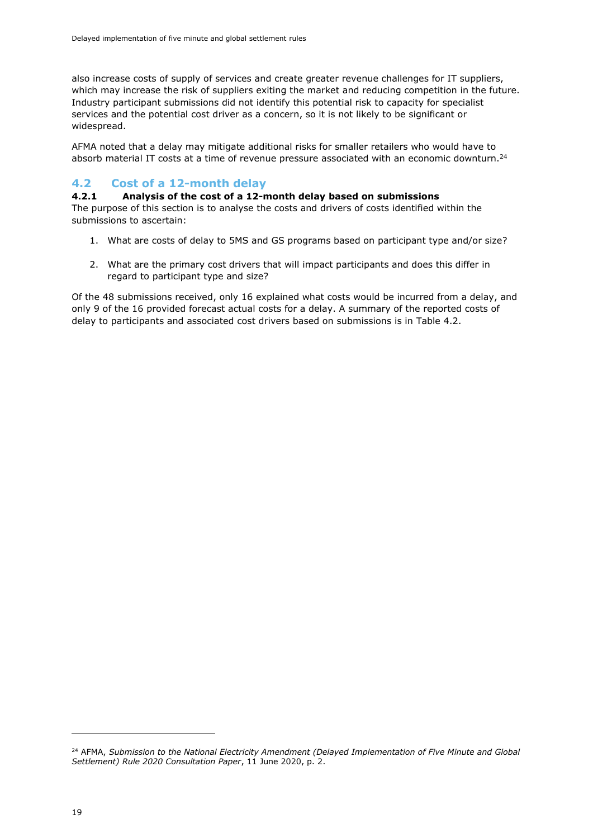also increase costs of supply of services and create greater revenue challenges for IT suppliers, which may increase the risk of suppliers exiting the market and reducing competition in the future. Industry participant submissions did not identify this potential risk to capacity for specialist services and the potential cost driver as a concern, so it is not likely to be significant or widespread.

AFMA noted that a delay may mitigate additional risks for smaller retailers who would have to absorb material IT costs at a time of revenue pressure associated with an economic downturn.<sup>24</sup>

#### <span id="page-22-0"></span>**4.2 Cost of a 12-month delay**

#### <span id="page-22-1"></span>**4.2.1 Analysis of the cost of a 12-month delay based on submissions**

The purpose of this section is to analyse the costs and drivers of costs identified within the submissions to ascertain:

- 1. What are costs of delay to 5MS and GS programs based on participant type and/or size?
- 2. What are the primary cost drivers that will impact participants and does this differ in regard to participant type and size?

Of the 48 submissions received, only 16 explained what costs would be incurred from a delay, and only 9 of the 16 provided forecast actual costs for a delay. A summary of the reported costs of delay to participants and associated cost drivers based on submissions is in [Table 4.2.](#page-23-0)

<sup>24</sup> AFMA, *Submission to the National Electricity Amendment (Delayed Implementation of Five Minute and Global Settlement) Rule 2020 Consultation Paper*, 11 June 2020, p. 2.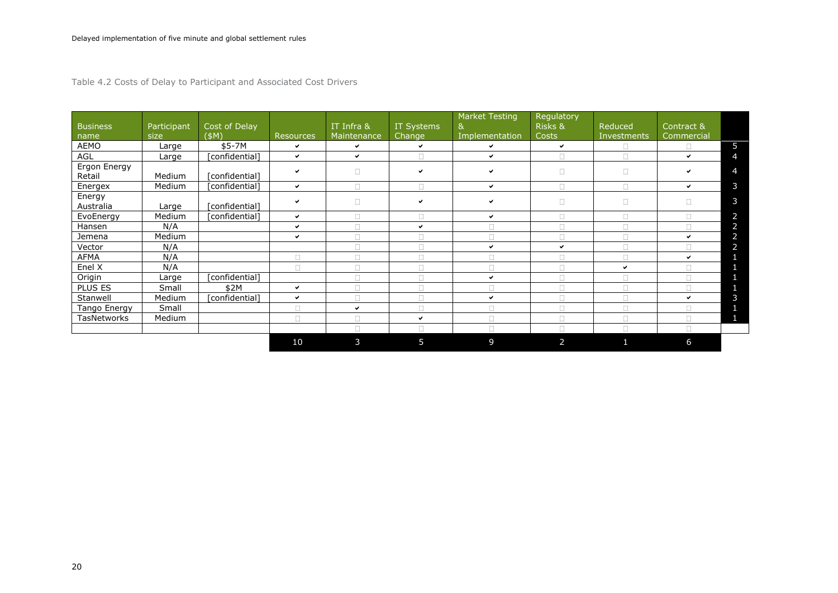Table 4.2 Costs of Delay to Participant and Associated Cost Drivers

<span id="page-23-0"></span>

| <b>Business</b><br>name | Participant<br>size | Cost of Delay<br>(SM) | <b>Resources</b> | $IT$ Infra $\overline{8}$<br>Maintenance | IT Systems<br>Change | <b>Market Testing</b><br>&<br>Implementation | Regulatory<br>Risks &<br>Costs | Reduced<br>Investments | Contract &<br>Commercial |   |
|-------------------------|---------------------|-----------------------|------------------|------------------------------------------|----------------------|----------------------------------------------|--------------------------------|------------------------|--------------------------|---|
| AEMO                    | Large               | \$5-7M                | ✓                | $\checkmark$                             | $\checkmark$         | ✓                                            | ✓                              |                        | $\Box$                   | 5 |
| AGL                     | Large               | [confidential]        | $\checkmark$     | $\checkmark$                             | $\Box$               | ✓                                            | $\Box$                         | $\Box$                 | $\checkmark$             | 4 |
| Ergon Energy<br>Retail  | Medium              | [confidential]        | ✓                | $\Box$                                   | $\checkmark$         | $\checkmark$                                 | $\Box$                         | $\Box$                 | ✓                        | 4 |
| Energex                 | Medium              | [confidential]        | $\checkmark$     |                                          |                      | ✓                                            | $\Box$                         | $\Box$                 | ✓                        | 3 |
| Energy<br>Australia     | Large               | [confidential]        | ◡                | $\Box$                                   | $\checkmark$         | $\checkmark$                                 | $\Box$                         | $\Box$                 | $\Box$                   | 3 |
| EvoEnergy               | Medium              | [confidential]        | ✓                | $\Box$                                   | $\Box$               | $\checkmark$                                 | $\Box$                         | $\Box$                 | $\Box$                   | 2 |
| Hansen                  | N/A                 |                       | $\checkmark$     |                                          | $\checkmark$         | $\Box$                                       | $\Box$                         | $\Box$                 | $\Box$                   | 2 |
| Jemena                  | <b>Medium</b>       |                       | ✓                |                                          |                      | $\Box$                                       | $\Box$                         | $\Box$                 | ✔                        | 2 |
| Vector                  | N/A                 |                       |                  |                                          | $\Box$               | $\checkmark$                                 | ✔                              | $\Box$                 | $\Box$                   | 2 |
| <b>AFMA</b>             | N/A                 |                       | $\Box$           | $\Box$                                   | $\Box$               | $\Box$                                       | $\Box$                         | $\Box$                 | ✔                        |   |
| Enel X                  | N/A                 |                       | П                | $\Box$                                   | $\Box$               | $\Box$                                       | $\Box$                         | ✔                      | $\Box$                   |   |
| Origin                  | Large               | [confidential]        |                  |                                          |                      | $\checkmark$                                 | $\Box$                         | $\Box$                 | $\Box$                   |   |
| PLUS ES                 | Small               | \$2M                  | ✓                |                                          |                      |                                              |                                |                        |                          |   |
| Stanwell                | Medium              | [confidential]        | ✓                | П                                        |                      | ✓                                            | $\Box$                         | $\Box$                 | ✔                        | 3 |
| Tango Energy            | Small               |                       | П                | $\checkmark$                             | $\Box$               | $\Box$                                       | $\Box$                         | $\Box$                 | $\Box$                   |   |
| TasNetworks             | Medium              |                       | $\Box$           |                                          | $\checkmark$         | $\Box$                                       | $\Box$                         | $\Box$                 | $\Box$                   |   |
|                         |                     |                       |                  | $\Box$                                   | $\Box$               | $\Box$                                       | $\Box$                         | $\Box$                 | $\Box$                   |   |
|                         |                     |                       | 10               | 3                                        | 5                    | 9                                            | 2                              | 1                      | 6                        |   |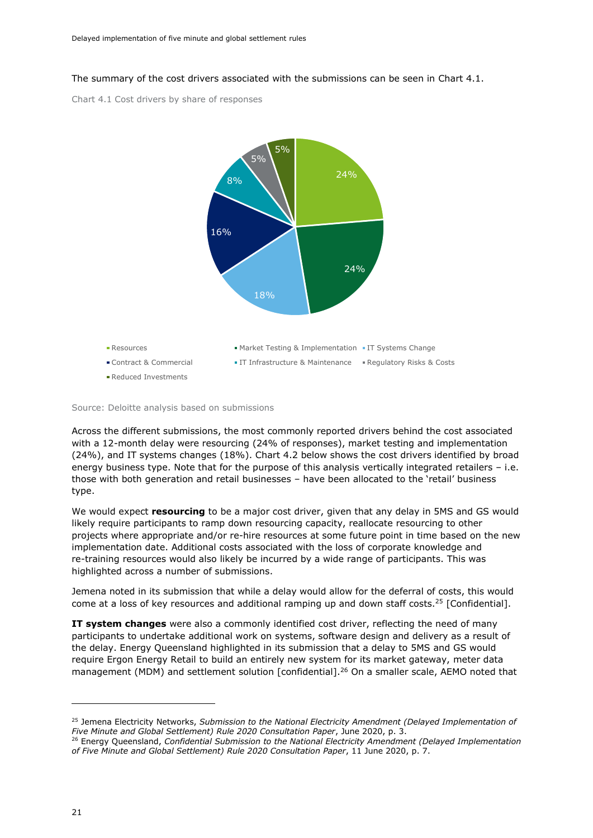<span id="page-24-0"></span>The summary of the cost drivers associated with the submissions can be seen in [Chart 4.1.](#page-24-1)

<span id="page-24-1"></span>Chart 4.1 Cost drivers by share of responses



Source: Deloitte analysis based on submissions

Across the different submissions, the most commonly reported drivers behind the cost associated with a 12-month delay were resourcing (24% of responses), market testing and implementation (24%), and IT systems changes (18%). Chart 4.2 below shows the cost drivers identified by broad energy business type. Note that for the purpose of this analysis vertically integrated retailers – i.e. those with both generation and retail businesses – have been allocated to the 'retail' business type.

We would expect **resourcing** to be a major cost driver, given that any delay in 5MS and GS would likely require participants to ramp down resourcing capacity, reallocate resourcing to other projects where appropriate and/or re-hire resources at some future point in time based on the new implementation date. Additional costs associated with the loss of corporate knowledge and re-training resources would also likely be incurred by a wide range of participants. This was highlighted across a number of submissions.

Jemena noted in its submission that while a delay would allow for the deferral of costs, this would come at a loss of key resources and additional ramping up and down staff costs.<sup>25</sup> [Confidential].

**IT system changes** were also a commonly identified cost driver, reflecting the need of many participants to undertake additional work on systems, software design and delivery as a result of the delay. Energy Queensland highlighted in its submission that a delay to 5MS and GS would require Ergon Energy Retail to build an entirely new system for its market gateway, meter data management (MDM) and settlement solution [confidential].<sup>26</sup> On a smaller scale, AEMO noted that

<sup>25</sup> Jemena Electricity Networks, *Submission to the National Electricity Amendment (Delayed Implementation of Five Minute and Global Settlement) Rule 2020 Consultation Paper*, June 2020, p. 3.

<sup>26</sup> Energy Queensland, *Confidential Submission to the National Electricity Amendment (Delayed Implementation of Five Minute and Global Settlement) Rule 2020 Consultation Paper*, 11 June 2020, p. 7.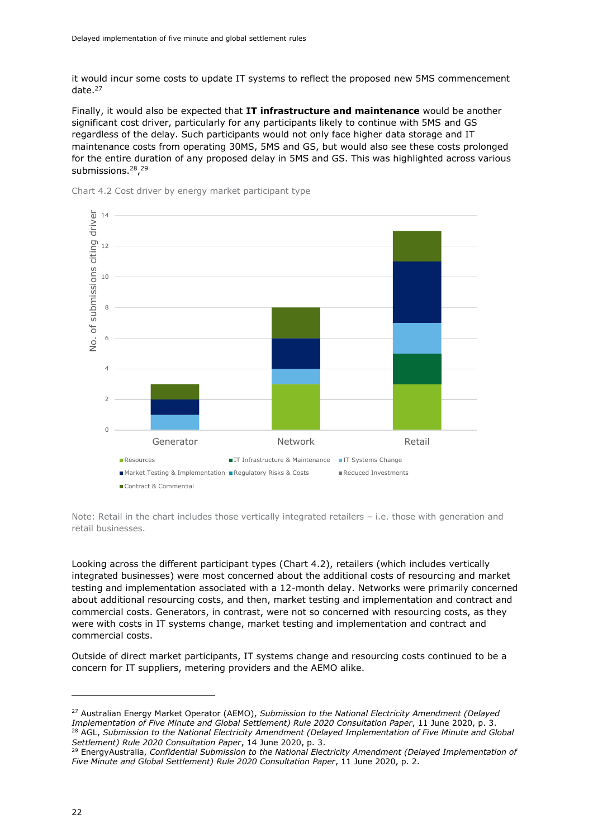it would incur some costs to update IT systems to reflect the proposed new 5MS commencement date.<sup>27</sup>

Finally, it would also be expected that **IT infrastructure and maintenance** would be another significant cost driver, particularly for any participants likely to continue with 5MS and GS regardless of the delay. Such participants would not only face higher data storage and IT maintenance costs from operating 30MS, 5MS and GS, but would also see these costs prolonged for the entire duration of any proposed delay in 5MS and GS. This was highlighted across various submissions.<sup>28</sup>,<sup>29</sup>

<span id="page-25-0"></span>



Note: Retail in the chart includes those vertically integrated retailers – i.e. those with generation and retail businesses.

Looking across the different participant types (Chart 4.2), retailers (which includes vertically integrated businesses) were most concerned about the additional costs of resourcing and market testing and implementation associated with a 12-month delay. Networks were primarily concerned about additional resourcing costs, and then, market testing and implementation and contract and commercial costs. Generators, in contrast, were not so concerned with resourcing costs, as they were with costs in IT systems change, market testing and implementation and contract and commercial costs.

Outside of direct market participants, IT systems change and resourcing costs continued to be a concern for IT suppliers, metering providers and the AEMO alike.

<sup>27</sup> Australian Energy Market Operator (AEMO), *Submission to the National Electricity Amendment (Delayed Implementation of Five Minute and Global Settlement) Rule 2020 Consultation Paper*, 11 June 2020, p. 3. <sup>28</sup> AGL, *Submission to the National Electricity Amendment (Delayed Implementation of Five Minute and Global Settlement) Rule 2020 Consultation Paper*, 14 June 2020, p. 3.

<sup>29</sup> EnergyAustralia, *Confidential Submission to the National Electricity Amendment (Delayed Implementation of Five Minute and Global Settlement) Rule 2020 Consultation Paper*, 11 June 2020, p. 2.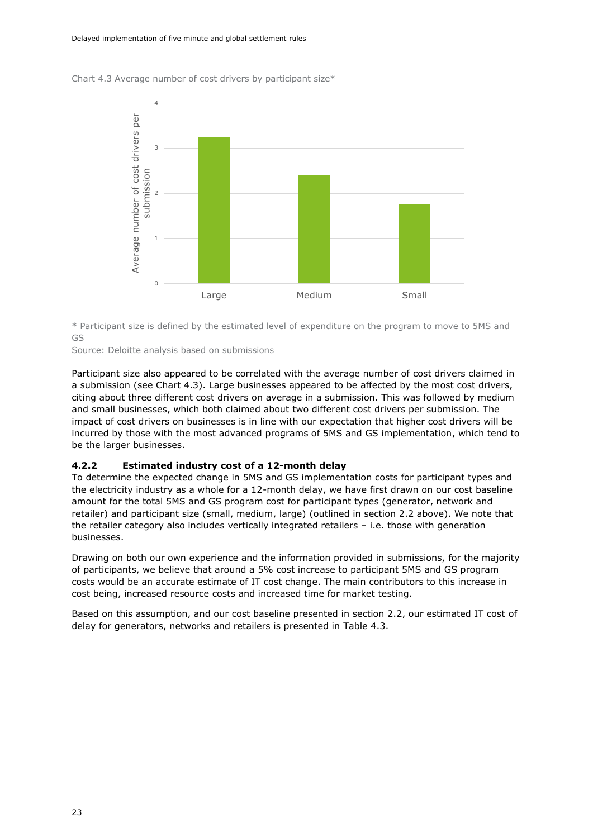<span id="page-26-1"></span>

Chart 4.3 Average number of cost drivers by participant size\*

\* Participant size is defined by the estimated level of expenditure on the program to move to 5MS and GS

Source: Deloitte analysis based on submissions

Participant size also appeared to be correlated with the average number of cost drivers claimed in a submission (see Chart 4.3). Large businesses appeared to be affected by the most cost drivers, citing about three different cost drivers on average in a submission. This was followed by medium and small businesses, which both claimed about two different cost drivers per submission. The impact of cost drivers on businesses is in line with our expectation that higher cost drivers will be incurred by those with the most advanced programs of 5MS and GS implementation, which tend to be the larger businesses.

#### <span id="page-26-0"></span>**4.2.2 Estimated industry cost of a 12-month delay**

To determine the expected change in 5MS and GS implementation costs for participant types and the electricity industry as a whole for a 12-month delay, we have first drawn on our cost baseline amount for the total 5MS and GS program cost for participant types (generator, network and retailer) and participant size (small, medium, large) (outlined in section 2.2 above). We note that the retailer category also includes vertically integrated retailers – i.e. those with generation businesses.

Drawing on both our own experience and the information provided in submissions, for the majority of participants, we believe that around a 5% cost increase to participant 5MS and GS program costs would be an accurate estimate of IT cost change. The main contributors to this increase in cost being, increased resource costs and increased time for market testing.

Based on this assumption, and our cost baseline presented in section 2.2, our estimated IT cost of delay for generators, networks and retailers is presented in [Table 4.3.](#page-27-2)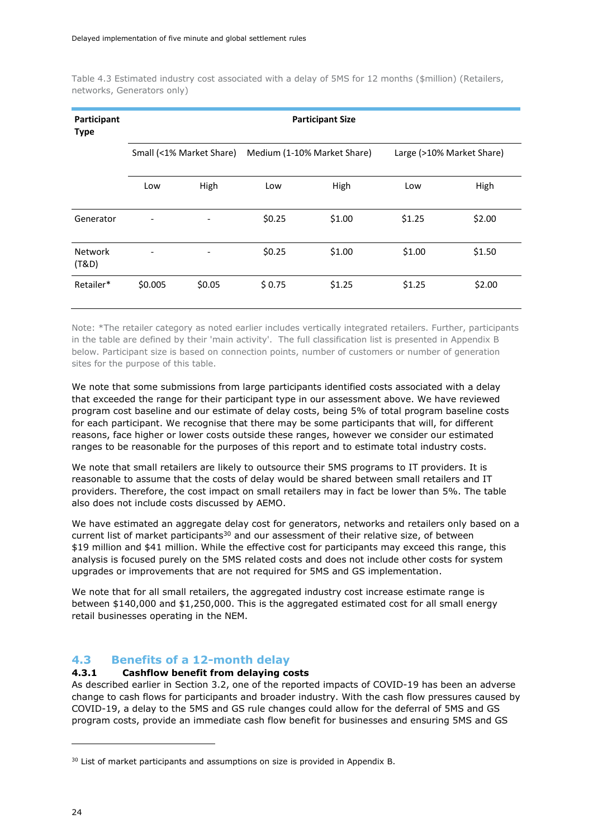<span id="page-27-2"></span>Table 4.3 Estimated industry cost associated with a delay of 5MS for 12 months (\$million) (Retailers, networks, Generators only)

| <b>Participant Size</b><br>Participant<br><b>Type</b> |                              |                          |                             |        |                           |        |
|-------------------------------------------------------|------------------------------|--------------------------|-----------------------------|--------|---------------------------|--------|
|                                                       |                              | Small (<1% Market Share) | Medium (1-10% Market Share) |        | Large (>10% Market Share) |        |
|                                                       | Low                          | High                     | Low                         | High   | Low                       | High   |
| Generator                                             | $\qquad \qquad \blacksquare$ |                          | \$0.25                      | \$1.00 | \$1.25                    | \$2.00 |
| <b>Network</b><br>(T&D)                               |                              |                          | \$0.25                      | \$1.00 | \$1.00                    | \$1.50 |
| Retailer*                                             | \$0.005                      | \$0.05                   | \$0.75                      | \$1.25 | \$1.25                    | \$2.00 |

Note: \*The retailer category as noted earlier includes vertically integrated retailers. Further, participants in the table are defined by their 'main activity'. The full classification list is presented in Appendix B below. Participant size is based on connection points, number of customers or number of generation sites for the purpose of this table.

We note that some submissions from large participants identified costs associated with a delay that exceeded the range for their participant type in our assessment above. We have reviewed program cost baseline and our estimate of delay costs, being 5% of total program baseline costs for each participant. We recognise that there may be some participants that will, for different reasons, face higher or lower costs outside these ranges, however we consider our estimated ranges to be reasonable for the purposes of this report and to estimate total industry costs.

We note that small retailers are likely to outsource their 5MS programs to IT providers. It is reasonable to assume that the costs of delay would be shared between small retailers and IT providers. Therefore, the cost impact on small retailers may in fact be lower than 5%. The table also does not include costs discussed by AEMO.

We have estimated an aggregate delay cost for generators, networks and retailers only based on a current list of market participants $30$  and our assessment of their relative size, of between \$19 million and \$41 million. While the effective cost for participants may exceed this range, this analysis is focused purely on the 5MS related costs and does not include other costs for system upgrades or improvements that are not required for 5MS and GS implementation.

We note that for all small retailers, the aggregated industry cost increase estimate range is between \$140,000 and \$1,250,000. This is the aggregated estimated cost for all small energy retail businesses operating in the NEM.

#### <span id="page-27-0"></span>**4.3 Benefits of a 12-month delay**

#### <span id="page-27-1"></span>**4.3.1 Cashflow benefit from delaying costs**

As described earlier in Section [3.2,](#page-16-0) one of the reported impacts of COVID-19 has been an adverse change to cash flows for participants and broader industry. With the cash flow pressures caused by COVID-19, a delay to the 5MS and GS rule changes could allow for the deferral of 5MS and GS program costs, provide an immediate cash flow benefit for businesses and ensuring 5MS and GS

<sup>&</sup>lt;sup>30</sup> List of market participants and assumptions on size is provided in Appendix B.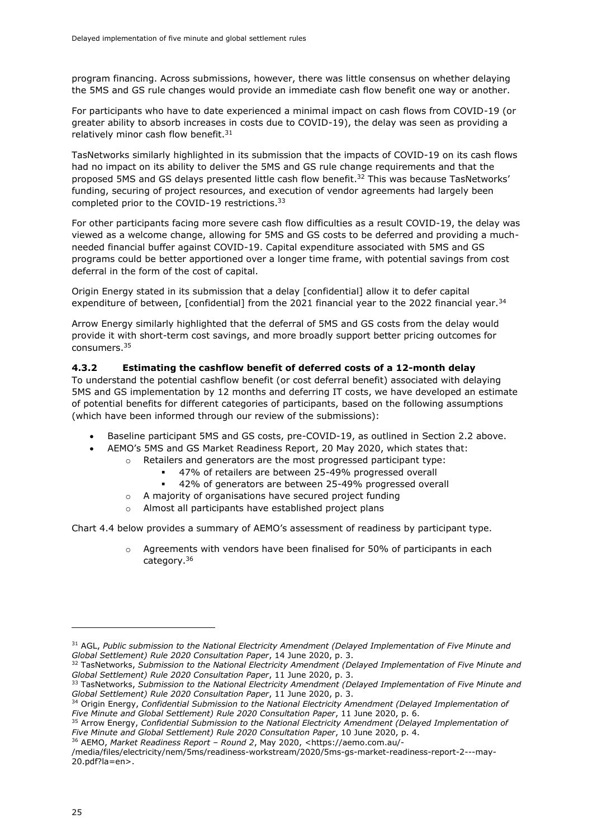program financing. Across submissions, however, there was little consensus on whether delaying the 5MS and GS rule changes would provide an immediate cash flow benefit one way or another.

For participants who have to date experienced a minimal impact on cash flows from COVID-19 (or greater ability to absorb increases in costs due to COVID-19), the delay was seen as providing a relatively minor cash flow benefit. $31$ 

TasNetworks similarly highlighted in its submission that the impacts of COVID-19 on its cash flows had no impact on its ability to deliver the 5MS and GS rule change requirements and that the proposed 5MS and GS delays presented little cash flow benefit. <sup>32</sup> This was because TasNetworks' funding, securing of project resources, and execution of vendor agreements had largely been completed prior to the COVID-19 restrictions.<sup>33</sup>

For other participants facing more severe cash flow difficulties as a result COVID-19, the delay was viewed as a welcome change, allowing for 5MS and GS costs to be deferred and providing a muchneeded financial buffer against COVID-19. Capital expenditure associated with 5MS and GS programs could be better apportioned over a longer time frame, with potential savings from cost deferral in the form of the cost of capital.

Origin Energy stated in its submission that a delay [confidential] allow it to defer capital expenditure of between, [confidential] from the 2021 financial year to the 2022 financial year.<sup>34</sup>

Arrow Energy similarly highlighted that the deferral of 5MS and GS costs from the delay would provide it with short-term cost savings, and more broadly support better pricing outcomes for consumers.<sup>35</sup>

#### <span id="page-28-0"></span>**4.3.2 Estimating the cashflow benefit of deferred costs of a 12-month delay**

To understand the potential cashflow benefit (or cost deferral benefit) associated with delaying 5MS and GS implementation by 12 months and deferring IT costs, we have developed an estimate of potential benefits for different categories of participants, based on the following assumptions (which have been informed through our review of the submissions):

- Baseline participant 5MS and GS costs, pre-COVID-19, as outlined in Section 2.2 above.
	- AEMO's 5MS and GS Market Readiness Report, 20 May 2020, which states that:
		- o Retailers and generators are the most progressed participant type:
			- 47% of retailers are between 25-49% progressed overall
			- 42% of generators are between 25-49% progressed overall
		- o A majority of organisations have secured project funding
		- Almost all participants have established project plans

Chart 4.4 below provides a summary of AEMO's assessment of readiness by participant type.

o Agreements with vendors have been finalised for 50% of participants in each category.<sup>36</sup>

<sup>31</sup> AGL, *Public submission to the National Electricity Amendment (Delayed Implementation of Five Minute and Global Settlement) Rule 2020 Consultation Paper*, 14 June 2020, p. 3.

<sup>32</sup> TasNetworks, *Submission to the National Electricity Amendment (Delayed Implementation of Five Minute and Global Settlement) Rule 2020 Consultation Paper*, 11 June 2020, p. 3.

<sup>33</sup> TasNetworks, *Submission to the National Electricity Amendment (Delayed Implementation of Five Minute and Global Settlement) Rule 2020 Consultation Paper*, 11 June 2020, p. 3.

<sup>34</sup> Origin Energy, *Confidential Submission to the National Electricity Amendment (Delayed Implementation of Five Minute and Global Settlement) Rule 2020 Consultation Paper*, 11 June 2020, p. 6.

<sup>35</sup> Arrow Energy, *Confidential Submission to the National Electricity Amendment (Delayed Implementation of Five Minute and Global Settlement) Rule 2020 Consultation Paper*, 10 June 2020, p. 4.

<sup>36</sup> AEMO, *Market Readiness Report – Round 2*, May 2020, <https://aemo.com.au/-

<sup>/</sup>media/files/electricity/nem/5ms/readiness-workstream/2020/5ms-gs-market-readiness-report-2---may-20.pdf?la=en>.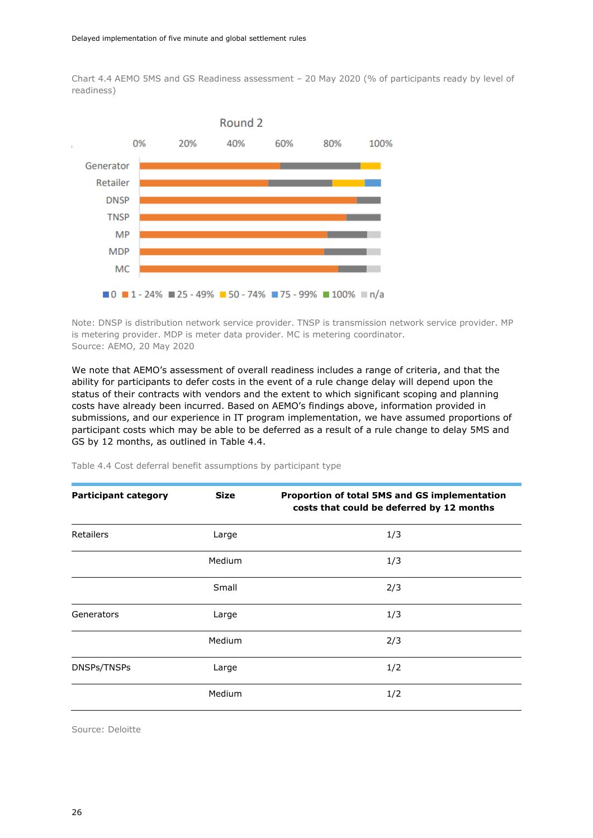<span id="page-29-0"></span>Chart 4.4 AEMO 5MS and GS Readiness assessment – 20 May 2020 (% of participants ready by level of readiness)



Note: DNSP is distribution network service provider. TNSP is transmission network service provider. MP is metering provider. MDP is meter data provider. MC is metering coordinator. Source: AEMO, 20 May 2020

We note that AEMO's assessment of overall readiness includes a range of criteria, and that the ability for participants to defer costs in the event of a rule change delay will depend upon the status of their contracts with vendors and the extent to which significant scoping and planning costs have already been incurred. Based on AEMO's findings above, information provided in submissions, and our experience in IT program implementation, we have assumed proportions of participant costs which may be able to be deferred as a result of a rule change to delay 5MS and GS by 12 months, as outlined in Table 4.4.

| <b>Participant category</b> | <b>Size</b> | Proportion of total 5MS and GS implementation<br>costs that could be deferred by 12 months |  |  |
|-----------------------------|-------------|--------------------------------------------------------------------------------------------|--|--|
| <b>Retailers</b>            | Large       | 1/3                                                                                        |  |  |
|                             | Medium      | 1/3                                                                                        |  |  |
|                             | Small       | 2/3                                                                                        |  |  |
| Generators                  | Large       | 1/3                                                                                        |  |  |
|                             | Medium      | 2/3                                                                                        |  |  |
| DNSPs/TNSPs                 | Large       | 1/2                                                                                        |  |  |
|                             | Medium      | 1/2                                                                                        |  |  |

<span id="page-29-1"></span>Table 4.4 Cost deferral benefit assumptions by participant type

Source: Deloitte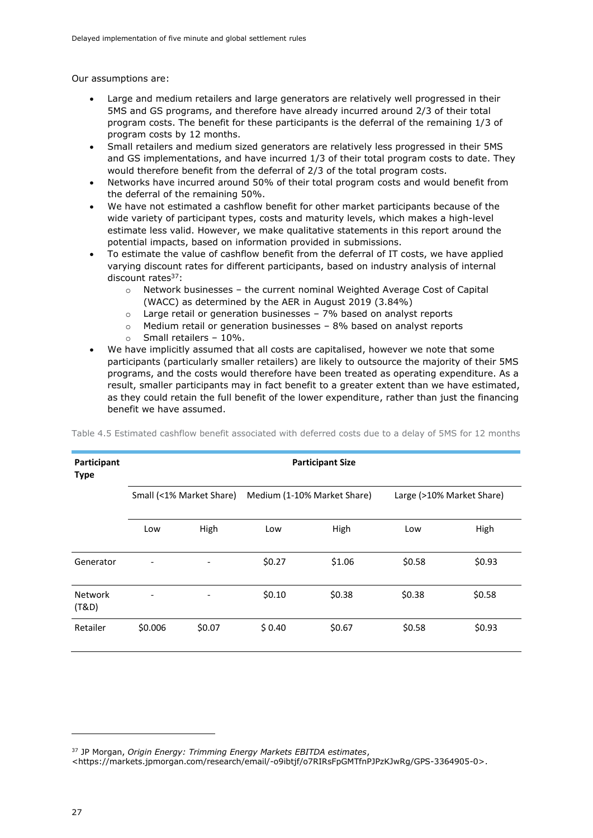Our assumptions are:

- Large and medium retailers and large generators are relatively well progressed in their 5MS and GS programs, and therefore have already incurred around 2/3 of their total program costs. The benefit for these participants is the deferral of the remaining 1/3 of program costs by 12 months.
- Small retailers and medium sized generators are relatively less progressed in their 5MS and GS implementations, and have incurred 1/3 of their total program costs to date. They would therefore benefit from the deferral of 2/3 of the total program costs.
- Networks have incurred around 50% of their total program costs and would benefit from the deferral of the remaining 50%.
- We have not estimated a cashflow benefit for other market participants because of the wide variety of participant types, costs and maturity levels, which makes a high-level estimate less valid. However, we make qualitative statements in this report around the potential impacts, based on information provided in submissions.
- To estimate the value of cashflow benefit from the deferral of IT costs, we have applied varying discount rates for different participants, based on industry analysis of internal discount rates<sup>37</sup>:
	- $\circ$  Network businesses the current nominal Weighted Average Cost of Capital (WACC) as determined by the AER in August 2019 (3.84%)
	- o Large retail or generation businesses 7% based on analyst reports
	- o Medium retail or generation businesses 8% based on analyst reports
	- $\circ$  Small retailers 10%.
- We have implicitly assumed that all costs are capitalised, however we note that some participants (particularly smaller retailers) are likely to outsource the majority of their 5MS programs, and the costs would therefore have been treated as operating expenditure. As a result, smaller participants may in fact benefit to a greater extent than we have estimated, as they could retain the full benefit of the lower expenditure, rather than just the financing benefit we have assumed.

| Participant<br><b>Type</b> | <b>Participant Size</b>      |                          |                             |        |                           |        |  |  |  |
|----------------------------|------------------------------|--------------------------|-----------------------------|--------|---------------------------|--------|--|--|--|
|                            |                              | Small (<1% Market Share) | Medium (1-10% Market Share) |        | Large (>10% Market Share) |        |  |  |  |
|                            | Low                          | High                     | Low                         | High   | Low                       | High   |  |  |  |
| Generator                  | $\overline{\phantom{a}}$     |                          | \$0.27                      | \$1.06 | \$0.58                    | \$0.93 |  |  |  |
| <b>Network</b><br>(T&D)    | $\qquad \qquad \blacksquare$ |                          | \$0.10                      | \$0.38 | \$0.38                    | \$0.58 |  |  |  |
| Retailer                   | \$0.006                      | \$0.07                   | \$0.40                      | \$0.67 | \$0.58                    | \$0.93 |  |  |  |

<span id="page-30-0"></span>Table 4.5 Estimated cashflow benefit associated with deferred costs due to a delay of 5MS for 12 months

<sup>37</sup> JP Morgan, *Origin Energy: Trimming Energy Markets EBITDA estimates*,

<sup>&</sup>lt;https://markets.jpmorgan.com/research/email/-o9ibtjf/o7RIRsFpGMTfnPJPzKJwRg/GPS-3364905-0>.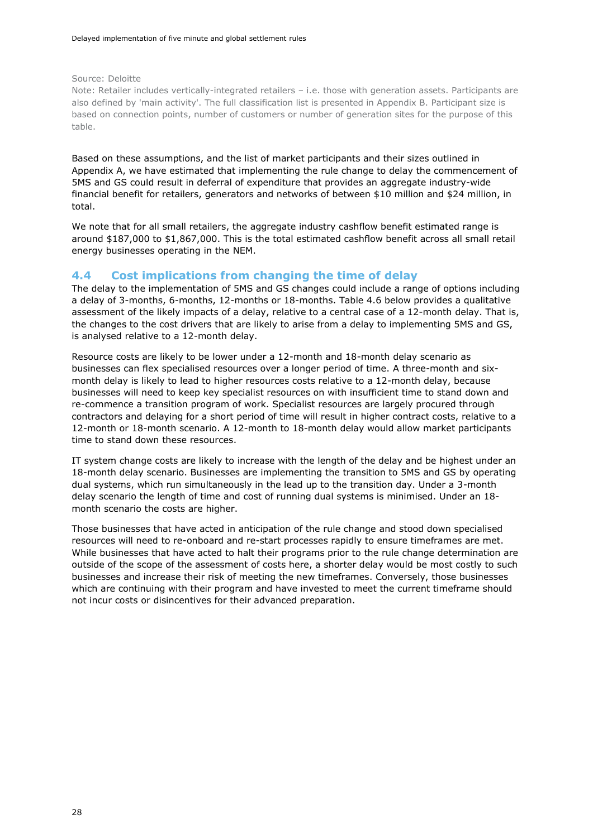Source: Deloitte

Note: Retailer includes vertically-integrated retailers – i.e. those with generation assets. Participants are also defined by 'main activity'. The full classification list is presented in Appendix B. Participant size is based on connection points, number of customers or number of generation sites for the purpose of this table.

Based on these assumptions, and the list of market participants and their sizes outlined in Appendix A, we have estimated that implementing the rule change to delay the commencement of 5MS and GS could result in deferral of expenditure that provides an aggregate industry-wide financial benefit for retailers, generators and networks of between \$10 million and \$24 million, in total.

We note that for all small retailers, the aggregate industry cashflow benefit estimated range is around \$187,000 to \$1,867,000. This is the total estimated cashflow benefit across all small retail energy businesses operating in the NEM.

#### <span id="page-31-0"></span>**4.4 Cost implications from changing the time of delay**

The delay to the implementation of 5MS and GS changes could include a range of options including a delay of 3-months, 6-months, 12-months or 18-months. Table 4.6 below provides a qualitative assessment of the likely impacts of a delay, relative to a central case of a 12-month delay. That is, the changes to the cost drivers that are likely to arise from a delay to implementing 5MS and GS, is analysed relative to a 12-month delay.

Resource costs are likely to be lower under a 12-month and 18-month delay scenario as businesses can flex specialised resources over a longer period of time. A three-month and sixmonth delay is likely to lead to higher resources costs relative to a 12-month delay, because businesses will need to keep key specialist resources on with insufficient time to stand down and re-commence a transition program of work. Specialist resources are largely procured through contractors and delaying for a short period of time will result in higher contract costs, relative to a 12-month or 18-month scenario. A 12-month to 18-month delay would allow market participants time to stand down these resources.

IT system change costs are likely to increase with the length of the delay and be highest under an 18-month delay scenario. Businesses are implementing the transition to 5MS and GS by operating dual systems, which run simultaneously in the lead up to the transition day. Under a 3-month delay scenario the length of time and cost of running dual systems is minimised. Under an 18 month scenario the costs are higher.

Those businesses that have acted in anticipation of the rule change and stood down specialised resources will need to re-onboard and re-start processes rapidly to ensure timeframes are met. While businesses that have acted to halt their programs prior to the rule change determination are outside of the scope of the assessment of costs here, a shorter delay would be most costly to such businesses and increase their risk of meeting the new timeframes. Conversely, those businesses which are continuing with their program and have invested to meet the current timeframe should not incur costs or disincentives for their advanced preparation.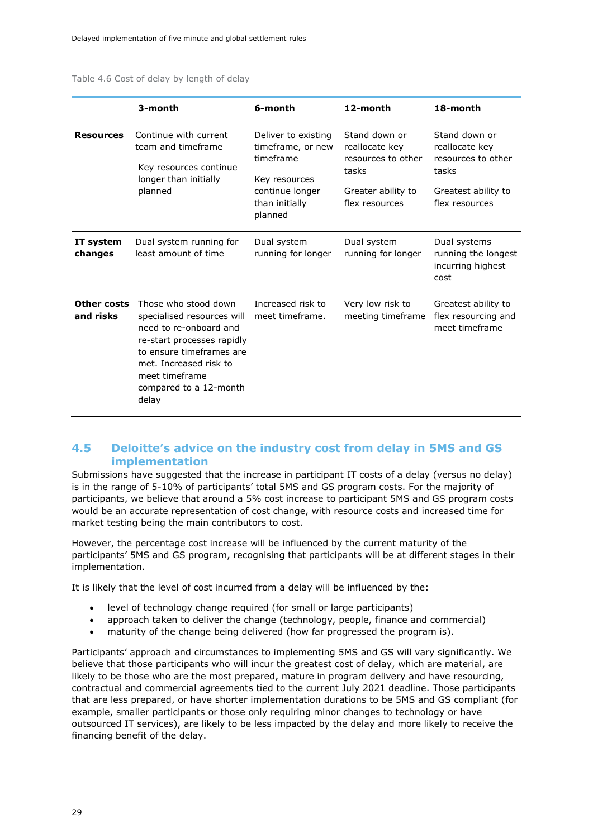<span id="page-32-1"></span>

| Table 4.6 Cost of delay by length of delay |  |  |  |  |  |
|--------------------------------------------|--|--|--|--|--|
|--------------------------------------------|--|--|--|--|--|

|                          | 3-month                                                                                                                                                                                                               | 6-month                                                                                                                | 12-month                                                                                               | 18-month                                                                                                |
|--------------------------|-----------------------------------------------------------------------------------------------------------------------------------------------------------------------------------------------------------------------|------------------------------------------------------------------------------------------------------------------------|--------------------------------------------------------------------------------------------------------|---------------------------------------------------------------------------------------------------------|
| <b>Resources</b>         | Continue with current<br>team and timeframe<br>Key resources continue<br>longer than initially<br>planned                                                                                                             | Deliver to existing<br>timeframe, or new<br>timeframe<br>Key resources<br>continue longer<br>than initially<br>planned | Stand down or<br>reallocate key<br>resources to other<br>tasks<br>Greater ability to<br>flex resources | Stand down or<br>reallocate key<br>resources to other<br>tasks<br>Greatest ability to<br>flex resources |
| IT system<br>changes     | Dual system running for<br>least amount of time                                                                                                                                                                       | Dual system<br>running for longer                                                                                      | Dual system<br>running for longer                                                                      | Dual systems<br>running the longest<br>incurring highest<br>cost                                        |
| Other costs<br>and risks | Those who stood down<br>specialised resources will<br>need to re-onboard and<br>re-start processes rapidly<br>to ensure timeframes are<br>met. Increased risk to<br>meet timeframe<br>compared to a 12-month<br>delay | Increased risk to<br>meet timeframe.                                                                                   | Very low risk to<br>meeting timeframe                                                                  | Greatest ability to<br>flex resourcing and<br>meet timeframe                                            |

#### <span id="page-32-0"></span>**4.5 Deloitte's advice on the industry cost from delay in 5MS and GS implementation**

Submissions have suggested that the increase in participant IT costs of a delay (versus no delay) is in the range of 5-10% of participants' total 5MS and GS program costs. For the majority of participants, we believe that around a 5% cost increase to participant 5MS and GS program costs would be an accurate representation of cost change, with resource costs and increased time for market testing being the main contributors to cost.

However, the percentage cost increase will be influenced by the current maturity of the participants' 5MS and GS program, recognising that participants will be at different stages in their implementation.

It is likely that the level of cost incurred from a delay will be influenced by the:

- level of technology change required (for small or large participants)
- approach taken to deliver the change (technology, people, finance and commercial)
- maturity of the change being delivered (how far progressed the program is).

Participants' approach and circumstances to implementing 5MS and GS will vary significantly. We believe that those participants who will incur the greatest cost of delay, which are material, are likely to be those who are the most prepared, mature in program delivery and have resourcing, contractual and commercial agreements tied to the current July 2021 deadline. Those participants that are less prepared, or have shorter implementation durations to be 5MS and GS compliant (for example, smaller participants or those only requiring minor changes to technology or have outsourced IT services), are likely to be less impacted by the delay and more likely to receive the financing benefit of the delay.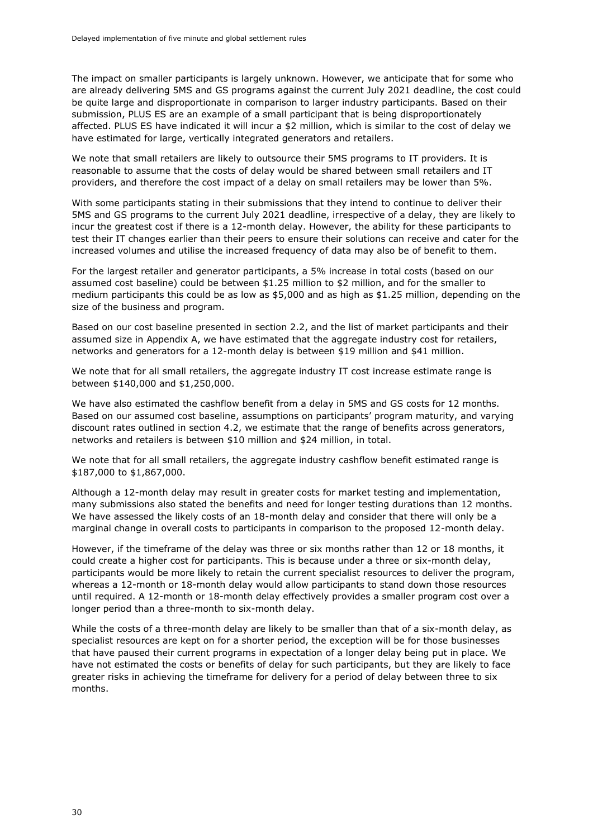The impact on smaller participants is largely unknown. However, we anticipate that for some who are already delivering 5MS and GS programs against the current July 2021 deadline, the cost could be quite large and disproportionate in comparison to larger industry participants. Based on their submission, PLUS ES are an example of a small participant that is being disproportionately affected. PLUS ES have indicated it will incur a \$2 million, which is similar to the cost of delay we have estimated for large, vertically integrated generators and retailers.

We note that small retailers are likely to outsource their 5MS programs to IT providers. It is reasonable to assume that the costs of delay would be shared between small retailers and IT providers, and therefore the cost impact of a delay on small retailers may be lower than 5%.

With some participants stating in their submissions that they intend to continue to deliver their 5MS and GS programs to the current July 2021 deadline, irrespective of a delay, they are likely to incur the greatest cost if there is a 12-month delay. However, the ability for these participants to test their IT changes earlier than their peers to ensure their solutions can receive and cater for the increased volumes and utilise the increased frequency of data may also be of benefit to them.

For the largest retailer and generator participants, a 5% increase in total costs (based on our assumed cost baseline) could be between \$1.25 million to \$2 million, and for the smaller to medium participants this could be as low as \$5,000 and as high as \$1.25 million, depending on the size of the business and program.

Based on our cost baseline presented in section 2.2, and the list of market participants and their assumed size in Appendix A, we have estimated that the aggregate industry cost for retailers, networks and generators for a 12-month delay is between \$19 million and \$41 million.

We note that for all small retailers, the aggregate industry IT cost increase estimate range is between \$140,000 and \$1,250,000.

We have also estimated the cashflow benefit from a delay in 5MS and GS costs for 12 months. Based on our assumed cost baseline, assumptions on participants' program maturity, and varying discount rates outlined in section 4.2, we estimate that the range of benefits across generators, networks and retailers is between \$10 million and \$24 million, in total.

We note that for all small retailers, the aggregate industry cashflow benefit estimated range is \$187,000 to \$1,867,000.

Although a 12-month delay may result in greater costs for market testing and implementation, many submissions also stated the benefits and need for longer testing durations than 12 months. We have assessed the likely costs of an 18-month delay and consider that there will only be a marginal change in overall costs to participants in comparison to the proposed 12-month delay.

However, if the timeframe of the delay was three or six months rather than 12 or 18 months, it could create a higher cost for participants. This is because under a three or six-month delay, participants would be more likely to retain the current specialist resources to deliver the program, whereas a 12-month or 18-month delay would allow participants to stand down those resources until required. A 12-month or 18-month delay effectively provides a smaller program cost over a longer period than a three-month to six-month delay.

While the costs of a three-month delay are likely to be smaller than that of a six-month delay, as specialist resources are kept on for a shorter period, the exception will be for those businesses that have paused their current programs in expectation of a longer delay being put in place. We have not estimated the costs or benefits of delay for such participants, but they are likely to face greater risks in achieving the timeframe for delivery for a period of delay between three to six months.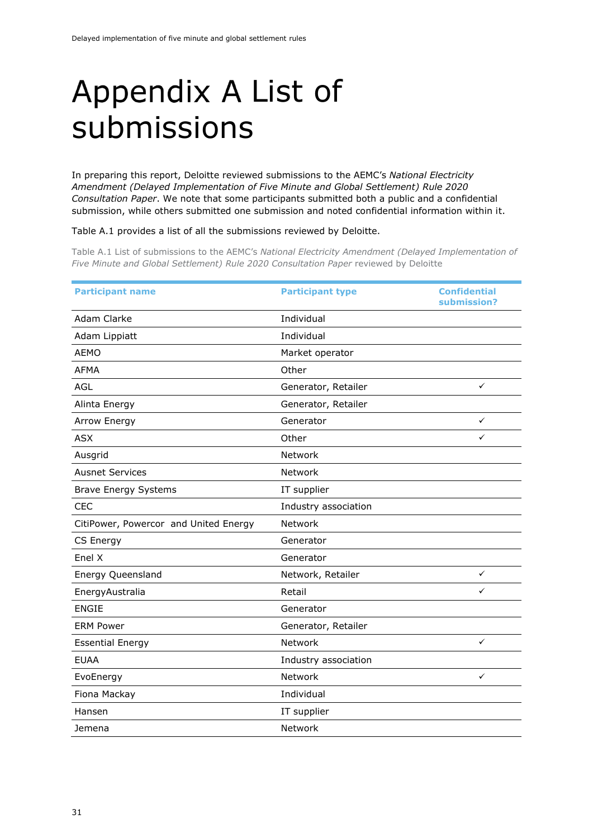### <span id="page-34-0"></span>Appendix A List of submissions

In preparing this report, Deloitte reviewed submissions to the AEMC's *National Electricity Amendment (Delayed Implementation of Five Minute and Global Settlement) Rule 2020 Consultation Paper*. We note that some participants submitted both a public and a confidential submission, while others submitted one submission and noted confidential information within it.

[Table A.1](#page-34-2) provides a list of all the submissions reviewed by Deloitte.

<span id="page-34-2"></span><span id="page-34-1"></span>Table A.1 List of submissions to the AEMC's *National Electricity Amendment (Delayed Implementation of Five Minute and Global Settlement) Rule 2020 Consultation Paper* reviewed by Deloitte

| <b>Participant name</b>               | <b>Participant type</b> | <b>Confidential</b><br>submission? |
|---------------------------------------|-------------------------|------------------------------------|
| Adam Clarke                           | Individual              |                                    |
| Adam Lippiatt                         | Individual              |                                    |
| <b>AEMO</b>                           | Market operator         |                                    |
| <b>AFMA</b>                           | Other                   |                                    |
| AGL                                   | Generator, Retailer     | ✓                                  |
| Alinta Energy                         | Generator, Retailer     |                                    |
| Arrow Energy                          | Generator               | $\checkmark$                       |
| <b>ASX</b>                            | Other                   | ✓                                  |
| Ausgrid                               | Network                 |                                    |
| <b>Ausnet Services</b>                | Network                 |                                    |
| <b>Brave Energy Systems</b>           | IT supplier             |                                    |
| <b>CEC</b>                            | Industry association    |                                    |
| CitiPower, Powercor and United Energy | Network                 |                                    |
| CS Energy                             | Generator               |                                    |
| Enel X                                | Generator               |                                    |
| Energy Queensland                     | Network, Retailer       | $\checkmark$                       |
| EnergyAustralia                       | Retail                  | ✓                                  |
| <b>ENGIE</b>                          | Generator               |                                    |
| <b>ERM Power</b>                      | Generator, Retailer     |                                    |
| <b>Essential Energy</b>               | Network                 | $\checkmark$                       |
| <b>EUAA</b>                           | Industry association    |                                    |
| EvoEnergy                             | Network                 | ✓                                  |
| Fiona Mackay                          | Individual              |                                    |
| Hansen                                | IT supplier             |                                    |
| Jemena                                | Network                 |                                    |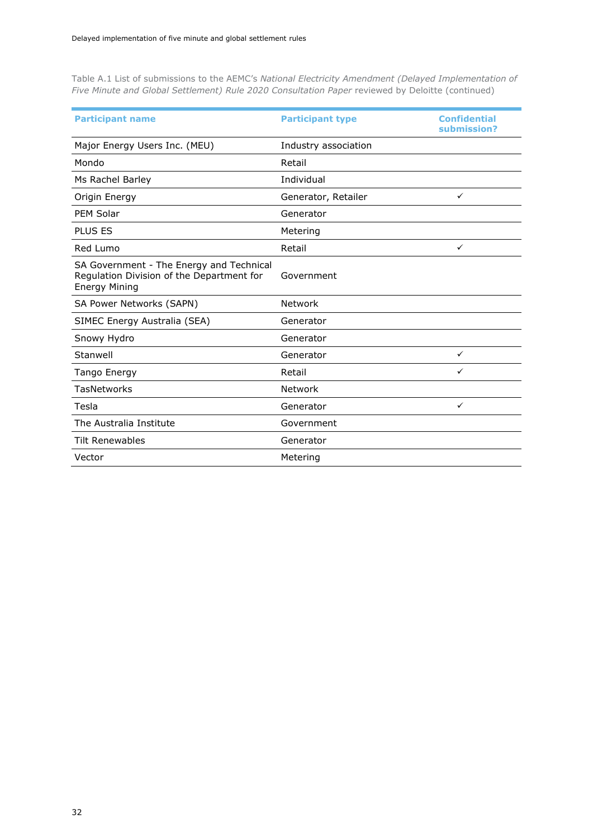<span id="page-35-0"></span>Table A.1 List of submissions to the AEMC's *National Electricity Amendment (Delayed Implementation of Five Minute and Global Settlement) Rule 2020 Consultation Paper* reviewed by Deloitte (continued)

| <b>Participant name</b>                                                                                       | <b>Participant type</b> | <b>Confidential</b><br>submission? |
|---------------------------------------------------------------------------------------------------------------|-------------------------|------------------------------------|
| Major Energy Users Inc. (MEU)                                                                                 | Industry association    |                                    |
| Mondo                                                                                                         | Retail                  |                                    |
| Ms Rachel Barley                                                                                              | Individual              |                                    |
| Origin Energy                                                                                                 | Generator, Retailer     | $\checkmark$                       |
| <b>PEM Solar</b>                                                                                              | Generator               |                                    |
| <b>PLUS ES</b>                                                                                                | Metering                |                                    |
| Red Lumo                                                                                                      | Retail                  | $\checkmark$                       |
| SA Government - The Energy and Technical<br>Regulation Division of the Department for<br><b>Energy Mining</b> | Government              |                                    |
| SA Power Networks (SAPN)                                                                                      | Network                 |                                    |
| SIMEC Energy Australia (SEA)                                                                                  | Generator               |                                    |
| Snowy Hydro                                                                                                   | Generator               |                                    |
| Stanwell                                                                                                      | Generator               | $\checkmark$                       |
| Tango Energy                                                                                                  | Retail                  | ✓                                  |
| TasNetworks                                                                                                   | <b>Network</b>          |                                    |
| Tesla                                                                                                         | Generator               | $\checkmark$                       |
| The Australia Institute                                                                                       | Government              |                                    |
| <b>Tilt Renewables</b>                                                                                        | Generator               |                                    |
| Vector                                                                                                        | Metering                |                                    |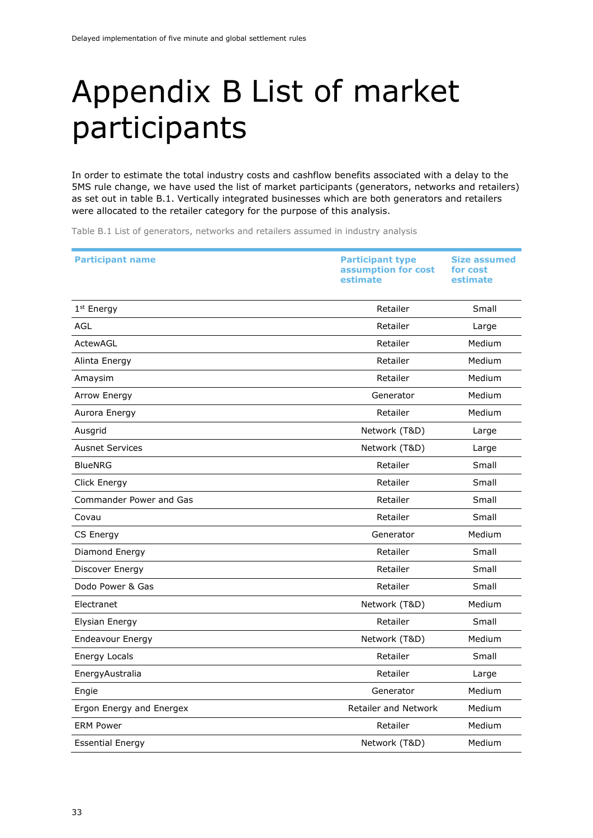### <span id="page-36-0"></span>Appendix B List of market participants

In order to estimate the total industry costs and cashflow benefits associated with a delay to the 5MS rule change, we have used the list of market participants (generators, networks and retailers) as set out in table B.1. Vertically integrated businesses which are both generators and retailers were allocated to the retailer category for the purpose of this analysis.

<span id="page-36-1"></span>Table B.1 List of generators, networks and retailers assumed in industry analysis

| <b>Participant name</b>  | <b>Participant type</b><br>assumption for cost<br>estimate | <b>Size assumed</b><br>for cost<br>estimate |
|--------------------------|------------------------------------------------------------|---------------------------------------------|
| 1st Energy               | Retailer                                                   | Small                                       |
| <b>AGL</b>               | Retailer                                                   | Large                                       |
| ActewAGL                 | Retailer                                                   | Medium                                      |
| Alinta Energy            | Retailer                                                   | Medium                                      |
| Amaysim                  | Retailer                                                   | Medium                                      |
| Arrow Energy             | Generator                                                  | Medium                                      |
| Aurora Energy            | Retailer                                                   | Medium                                      |
| Ausgrid                  | Network (T&D)                                              | Large                                       |
| <b>Ausnet Services</b>   | Network (T&D)                                              | Large                                       |
| <b>BlueNRG</b>           | Retailer                                                   | Small                                       |
| Click Energy             | Retailer                                                   | Small                                       |
| Commander Power and Gas  | Retailer                                                   | Small                                       |
| Covau                    | Retailer                                                   | Small                                       |
| CS Energy                | Generator                                                  | Medium                                      |
| Diamond Energy           | Retailer                                                   | Small                                       |
| Discover Energy          | Retailer                                                   | Small                                       |
| Dodo Power & Gas         | Retailer                                                   | Small                                       |
| Electranet               | Network (T&D)                                              | Medium                                      |
| Elysian Energy           | Retailer                                                   | Small                                       |
| <b>Endeavour Energy</b>  | Network (T&D)                                              | Medium                                      |
| <b>Energy Locals</b>     | Retailer                                                   | Small                                       |
| EnergyAustralia          | Retailer                                                   | Large                                       |
| Engie                    | Generator                                                  | Medium                                      |
| Ergon Energy and Energex | <b>Retailer and Network</b>                                | Medium                                      |
| <b>ERM Power</b>         | Retailer                                                   | Medium                                      |
| <b>Essential Energy</b>  | Network (T&D)                                              | Medium                                      |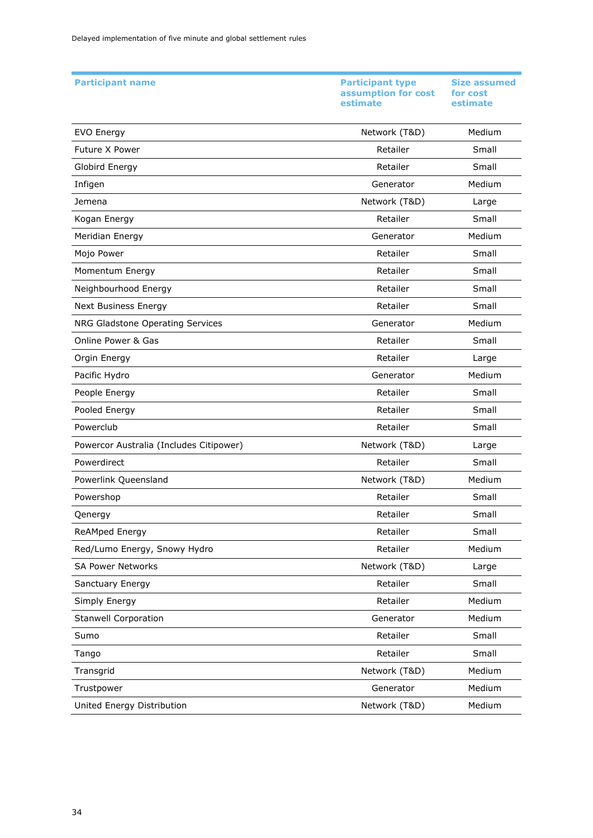| <b>Participant name</b>                 | <b>Participant type</b><br>assumption for cost<br>estimate | <b>Size assumed</b><br>for cost<br>estimate |
|-----------------------------------------|------------------------------------------------------------|---------------------------------------------|
| <b>EVO Energy</b>                       | Network (T&D)                                              | Medium                                      |
| Future X Power                          | Retailer                                                   | Small                                       |
| Globird Energy                          | Retailer                                                   | Small                                       |
| Infigen                                 | Generator                                                  | Medium                                      |
| Jemena                                  | Network (T&D)                                              | Large                                       |
| Kogan Energy                            | Retailer                                                   | Small                                       |
| Meridian Energy                         | Generator                                                  | Medium                                      |
| Mojo Power                              | Retailer                                                   | Small                                       |
| Momentum Energy                         | Retailer                                                   | Small                                       |
| Neighbourhood Energy                    | Retailer                                                   | Small                                       |
| <b>Next Business Energy</b>             | Retailer                                                   | Small                                       |
| NRG Gladstone Operating Services        | Generator                                                  | Medium                                      |
| Online Power & Gas                      | Retailer                                                   | Small                                       |
| Orgin Energy                            | Retailer                                                   | Large                                       |
| Pacific Hydro                           | Generator                                                  | Medium                                      |
| People Energy                           | Retailer                                                   | Small                                       |
| Pooled Energy                           | Retailer                                                   | Small                                       |
| Powerclub                               | Retailer                                                   | Small                                       |
| Powercor Australia (Includes Citipower) | Network (T&D)                                              | Large                                       |
| Powerdirect                             | Retailer                                                   | Small                                       |
| Powerlink Queensland                    | Network (T&D)                                              | Medium                                      |
| Powershop                               | Retailer                                                   | Small                                       |
| Qenergy                                 | Retailer                                                   | Small                                       |
| ReAMped Energy                          | Retailer                                                   | Small                                       |
| Red/Lumo Energy, Snowy Hydro            | Retailer                                                   | Medium                                      |
| <b>SA Power Networks</b>                | Network (T&D)                                              | Large                                       |
| Sanctuary Energy                        | Retailer                                                   | Small                                       |
| Simply Energy                           | Retailer                                                   | Medium                                      |
| <b>Stanwell Corporation</b>             | Generator                                                  | Medium                                      |
| Sumo                                    | Retailer                                                   | Small                                       |
| Tango                                   | Retailer                                                   | Small                                       |
| Transgrid                               | Network (T&D)                                              | Medium                                      |
| Trustpower                              | Generator                                                  | Medium                                      |
| United Energy Distribution              | Network (T&D)                                              | Medium                                      |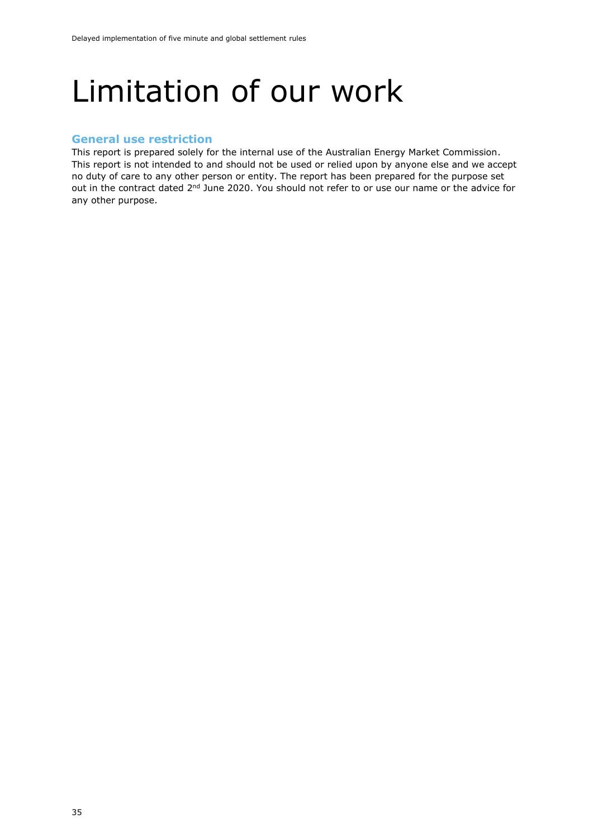### <span id="page-38-0"></span>Limitation of our work

#### <span id="page-38-1"></span>**General use restriction**

This report is prepared solely for the internal use of the Australian Energy Market Commission. This report is not intended to and should not be used or relied upon by anyone else and we accept no duty of care to any other person or entity. The report has been prepared for the purpose set out in the contract dated 2<sup>nd</sup> June 2020. You should not refer to or use our name or the advice for any other purpose.